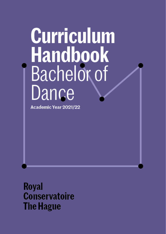# **Curriculum** Handbook<br>Bachelor of Dance

Academic Year 2021/22

Royal **Conservatoire The Hague**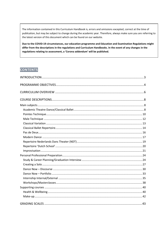The information contained in this Curriculum Handbook is, errors and omissions excepted, correct at the time of publication, but may be subject to change during the academic year. Therefore, always make sure you are referring to the latest version of this document which can be found on our website.

Due to the COVID-19 circumstances, our education programme and Education and Examination Regulations might differ from the descriptions in the regulations and Curriculum Handbooks. In the event of any changes in the regulations relating to assessment, a 'Corona addendum' will be published.

# **CONTENTS**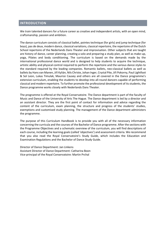#### <span id="page-2-0"></span>**INTRODUCTION**

We train talented dancers for a future career as creative and independent artists, with an open mind, craftsmanship, passion and ambition.

The dance curriculum consists of classical ballet, pointes technique (for girls) and jump technique (for boys), pas de deux, modern dance, classical variations, classical repertoire, the repertoire of the Dutch School repertoire of the Nederlands Dans Theater and improvisation. Other subjects that are taught are history of dance, career planning, creating a solo and preparing a study plan, as well as make-up, yoga, Pilates and body conditioning. The curriculum is based on the demands made by the international professional dance world and is designed to help students to acquire the technique, artistic ability and physical control required to perform the repertoire and the various dance styles to the standard required by the leading companies. Romantic ballets, neo-classical ballets as well as ballets by Hans van Manen, Jiří Kylián, Nils Christe, Johan Inger, Crystal Pite, Jiři Pokorny, Paul Lightfoot & Sol Leon, Lukas Timulak, Maurice Causey and others are all covered in the Dance programme's extensive curriculum, enabling the students to develop into all-round dancers capable of performing classical and modern repertoire. To further promote the professional development of its students, the Dance programme works closely with Nederlands Dans Theater.

The programme is offered at the Royal Conservatoire. The Dance department is part of the faculty of Music and Dance of the University of Arts The Hague. The Dance department is led by a director and an assistant director. They are the first point of contact for information and advice regarding the content of the curriculum, exam planning, the structure and progress of the students' studies, exemptions and customised study planning. The management of the Dance department administers the programme.

The purpose of this Curriculum Handbook is to provide you with all of the necessary information concerning the curricula and the courses of the Bachelor of Dance programme. After the sections with the Programme Objectives and a schematic overview of the curriculum, you will find descriptions of each course, including the learning goals (called 'objectives') and assessment criteria. We recommend that you also read the Royal Conservatoire's Study Guide, which includes the Education and Examination Regulations and the Bachelor of Dance Study Guide.

Director of Dance Department: Jan Linkens Assistant Director of Dance Department: Catharina Boon Vice-principal of the Royal Conservatoire: Martin Prchal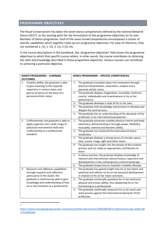## <span id="page-3-0"></span>**PROGRAMME OBJECTIVES**

**.** 1

The Royal Conservatoire has taken the seven dance competencies defined by the national Network Dance  $(2017)^1$  as the starting point for the formulation of the programme objectives for its own Bachelor of Dance programme. Each of the seven broad competencies encompasses a cluster of specific capabilities which together make up our programme objectives. For ease of reference, they are numbered 1. (1), 1. (2), 2. (1), 2 (2), etc.

In the course descriptions in this handbook, the 'programme objectives' field shows the programme objectives to which that specific course relates. In other words, the course contributes to obtaining the skills and knowledge described in those programme objectives. Various courses can contribute to achieving a particular objective.

|    | <b>DANCE PROGRAMME - LEARNING</b>                                                                                     |    | <b>DANCE PROGRAMME - SPECIFIC COMPETENCIES</b>                                                                                                                               |
|----|-----------------------------------------------------------------------------------------------------------------------|----|------------------------------------------------------------------------------------------------------------------------------------------------------------------------------|
|    | <b>OUTCOMES</b>                                                                                                       |    |                                                                                                                                                                              |
| 1. | Creative ability: the graduate is able<br>to give meaning to the required<br>repertoire in various styles and         | 1. | The graduate translates ideas into movement through<br>physical interpretation, association, analysis and a<br>personal artistic vision.                                     |
|    | genres of dance on the basis of a<br>personal artistic vision.                                                        | 2. | The graduate displays imagination, musicality, technical<br>control, individuality and inventiveness in his or her<br>performance.                                           |
|    |                                                                                                                       | 3. | The graduate develops a style of his or her own.                                                                                                                             |
|    |                                                                                                                       | 4. | The graduate links knowledge and practice to develop and<br>deepen the work process.                                                                                         |
|    |                                                                                                                       | 5. | The graduate has an understanding of the demands of the<br>profession in an international perspective.                                                                       |
| 2. | Craftsmanship: the graduate is able to<br>apply expertise and a wide range of<br>(physical) instrumental skills and   | 1. | The graduate possesses suitable physical control and body<br>awareness, demonstrating it through power, flexibility,<br>musicality, stamina and dynamic ability.             |
|    | craftsmanship to a professional<br>standard.                                                                          | 2. | The graduate has mastered the international dance<br>vocabulary.                                                                                                             |
|    |                                                                                                                       | 3. | The graduate displays a strong sense of concept, space,<br>time, sound, image, light and other facets.                                                                       |
|    |                                                                                                                       | 4. | The graduate has insight into the phases of the creation<br>process and can make an appropriate contribution to<br>them.                                                     |
|    |                                                                                                                       | 5. | In dance practice, the graduate displays knowledge of<br>national and international cultural history, repertoire and<br>developments in the contemporary cultural landscape. |
|    |                                                                                                                       | 6. | The graduate knows how to maintain a healthy lifestyle.                                                                                                                      |
| 3. | Research and reflective capabilities:<br>through research and reflection,<br>particularly in the studio, the          | 1. | The graduate has gained insight into his or her talent and<br>potential and reflects on his or her personal development<br>in relation to his or her vision and work.        |
|    | graduate is continuously able to gain<br>knowledge and understanding of how<br>he or she functions as a professional. | 2. | The graduate continually questions his or her technical,<br>physical and artistic ability, thus deepening his or her<br>functioning as a professional.                       |
|    |                                                                                                                       | 3. | The graduate continually measures his or her work and<br>work process against the international demands of the<br>profession.                                                |

[https://www.vereniginghogescholen.nl/system/profiles/documents/000/000/067/original/dans.bop.2018.pdf](https://www.vereniginghogescholen.nl/system/profiles/documents/000/000/067/original/dans.bop.2018.pdf?1523949283) [?1523949283](https://www.vereniginghogescholen.nl/system/profiles/documents/000/000/067/original/dans.bop.2018.pdf?1523949283)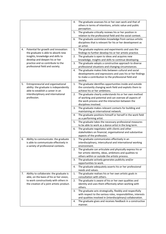|    |                                                                                     | 4. | The graduate assesses his or her own work and that of<br>others in terms of intentions, artistic value and public<br>perception.     |
|----|-------------------------------------------------------------------------------------|----|--------------------------------------------------------------------------------------------------------------------------------------|
|    |                                                                                     | 5. | The graduate critically reviews his or her position in<br>relation to the professional field and the social context.                 |
|    |                                                                                     | 6. | The graduate assimilates knowledge from various artistic<br>disciplines that is relevant for his or her development as<br>an artist. |
| 4. | Potential for growth and innovation:<br>the graduate is able to absorb new          | 1. | The graduate explores and experiments and uses the<br>findings to further develop his or her artistic practice.                      |
|    | insights, knowledge and skills to                                                   | 2. | The graduate is open to ideas and acquires new                                                                                       |
|    | develop and deepen his or her                                                       |    | knowledge, insights and skills to continue developing.                                                                               |
|    | practice and so contribute to the                                                   | 3. | The graduate adopts a constructive approach to diverse                                                                               |
|    | professional field and society.                                                     |    | professional situations and changing circumstances.                                                                                  |
|    |                                                                                     | 4. | The graduate makes links between cultural and social<br>developments and expressions and uses his or her findings                    |
|    |                                                                                     |    | to make a contribution to the professional field and                                                                                 |
|    |                                                                                     |    | society.                                                                                                                             |
| 5. | Entrepreneurial and organisational                                                  | 1. | The graduate identifies opportunities inside and outside                                                                             |
|    | ability: the graduate is independently                                              |    | the constantly changing work field and exploits them to                                                                              |
|    | able to establish a career in an<br>interdisciplinary and international             | 2. | achieve his or her ambitions.<br>The graduate clearly understands his or her own method                                              |
|    | profession.                                                                         |    | of working and potential and can oversee all aspects of                                                                              |
|    |                                                                                     |    | the work process and the interaction between the                                                                                     |
|    |                                                                                     |    | disciplines involved.                                                                                                                |
|    |                                                                                     | 3. | The graduate makes relevant contacts for building and                                                                                |
|    |                                                                                     |    | maintaining an international network.                                                                                                |
|    |                                                                                     | 4. | The graduate positions himself or herself in the work field<br>as a performing artist.                                               |
|    |                                                                                     | 5. | The graduate takes the necessary professional measures                                                                               |
|    |                                                                                     |    | to be able to work as a dance artist in the long term.                                                                               |
|    |                                                                                     | 6. | The graduate negotiates with clients and other                                                                                       |
|    |                                                                                     |    | stakeholders on financial, organisational and substantive                                                                            |
| 6. | Ability to communicate: the graduate                                                | 1. | aspects of the profession.<br>The graduate communicates effectively in an                                                            |
|    | is able to communicate effectively in                                               |    | interdisciplinary, intercultural and international working                                                                           |
|    | a variety of professional contexts.                                                 |    | environment.                                                                                                                         |
|    |                                                                                     | 2. | The graduate can articulate and physically express his or                                                                            |
|    |                                                                                     |    | her artistic identity, ideas, ambitions and qualities to                                                                             |
|    |                                                                                     | 3. | others within or outside the artistic process.<br>The graduate actively generates publicity and/or                                   |
|    |                                                                                     |    | opportunities to work.                                                                                                               |
|    |                                                                                     | 4. | The graduate adequately asserts his or her professional                                                                              |
|    |                                                                                     |    | needs and values.                                                                                                                    |
| 7. | Ability to collaborate: the graduate is<br>able, on the basis of his or her vision, | 1. | The graduate realises his or her own artistic goals in<br>consultation with others.                                                  |
|    | to work constructively with others in                                               | 2. | The graduate is aware of his or her own qualities and                                                                                |
|    | the creation of a joint artistic product.                                           |    | identity and uses them effectively when working with                                                                                 |
|    |                                                                                     |    | others.                                                                                                                              |
|    |                                                                                     | 3. | The graduate acts strategically, flexibly and respectfully<br>with respect to the various roles, responsibilities, interests         |
|    |                                                                                     |    | and qualities involved in (interdisciplinary) collaboration.                                                                         |
|    |                                                                                     | 4. | The graduate gives and receives feedback in a constructive                                                                           |
|    |                                                                                     |    | manner.                                                                                                                              |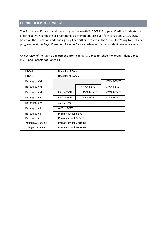## <span id="page-5-0"></span>**CURRICULUM OVERVIEW**

The Bachelor of Dance is a full-time programme worth 240 ECTS (European Credits). Students are entering a two-year Bachelor programme, as exemptions are given for years 1 and 2 (120 ECTS) based on the education and training they have either received in the School for Young Talent Dance programme at the Royal Conservatoire or in Dance academies of an equivalent level elsewhere.

An overview of the Dance department, from Young KC-Dance to School for Young Talent Dance (SVJT) and Bachelor of Dance (HBO):

| HBO-4             | Bachelor of Dance         |             |            |  |  |
|-------------------|---------------------------|-------------|------------|--|--|
| HBO-3             | Bachelor of Dance         |             |            |  |  |
| Ballet group VIII | VWO 6-SVJT                |             |            |  |  |
| Ballet group VII  |                           | HAVO 5-SVJT | VWO 5-SVJT |  |  |
| Ballet group VI   | <b>HAS 4-SVJT</b>         | HAVO 4-SVJT | VWO 4-SVJT |  |  |
| Ballet group V    | HAS 3-SVJT                | HAVO 3-SVJT | VWO 3-SVJT |  |  |
| Ballet group IV   | AVO 2-SVJT                |             |            |  |  |
| Ballet group III  | AVO 1-SVJT                |             |            |  |  |
| Ballet group II   | Primary school 8-SVJT     |             |            |  |  |
| Ballet group I    | Primary school 7-SVJT     |             |            |  |  |
| Young KC-Dance 2  | Primary school 6-external |             |            |  |  |
| Young KC-Dance 1  | Primary school 5-external |             |            |  |  |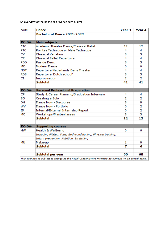An overview of the Bachelor of Dance curriculum:

| code       | <b>Dance</b>                                                                                             | Year 3 | Year 4 |
|------------|----------------------------------------------------------------------------------------------------------|--------|--------|
|            | Bachelor of Dance 2021-2022                                                                              |        |        |
|            |                                                                                                          |        |        |
| KC-DA-     | <b>Main subjects</b>                                                                                     |        |        |
| <b>ATC</b> | Academic Theatre Dance/Classical Ballet                                                                  | 12     | 12     |
| <b>PTC</b> | Pointes Technique or Male Technique                                                                      | 4      | 4      |
| CV         | <b>Classical Variation</b>                                                                               | 3      | 3      |
| <b>CR</b>  | <b>Classical Ballet Repertoire</b>                                                                       | 4      | 4      |
| <b>PDD</b> | Pas de Deux                                                                                              | 3      | 3      |
| MO         | <b>Modern Dance</b>                                                                                      | 6      | 6      |
| <b>NDT</b> | Repertoire Nederlands Dans Theater                                                                       | 4      | 4      |
| <b>RDS</b> | Repertoire 'Dutch school'                                                                                | 3      | 3      |
| CI         | Improvisation                                                                                            | 2      | 2      |
|            | <b>Subtotal</b>                                                                                          | 41     | 41     |
|            |                                                                                                          |        |        |
| KC-DA-     | <b>Personal Professional Preparation</b>                                                                 |        |        |
| <b>CP</b>  | Study & Career Planning/Graduation Interview                                                             | 4      | 4      |
| SO         | Creating a Solo                                                                                          | 2      | 2      |
| DH         | Dance Now - Discourse                                                                                    | 3      | 0      |
| wv         | Dance Now - Portfolio                                                                                    | 0      | 2      |
| IS         | Internal/External Internship Report                                                                      | 0      | 2      |
| MC         | Workshops/Masterclasses                                                                                  |        | 3      |
|            | <b>Subtotal</b>                                                                                          |        | 13     |
|            |                                                                                                          |        |        |
| KC-DA-     | <b>Supporting courses</b>                                                                                |        |        |
| <b>HW</b>  | Health & Wellbeing                                                                                       | 6      | 6      |
|            | Including Pilates, Yoga, Bodyconditioning, Physical training,                                            |        |        |
|            | Injury prevention, Nutrition, Stretching                                                                 |        |        |
| <b>MU</b>  | Make-up                                                                                                  | 1      | 0      |
|            | <b>Subtotal</b>                                                                                          | 7      | 6      |
|            | Subtotal per year                                                                                        | 60     | 60     |
|            | This overview is subject to change as the Royal Conservatoire monitors its curricula on an annual basis. |        |        |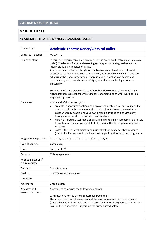# <span id="page-7-0"></span>**COURSE DESCRIPTIONS**

## <span id="page-7-1"></span>**MAIN SUBJECTS**

## <span id="page-7-2"></span>**ACADEMIC THEATRE DANCE/CLASSICAL BALLET**

| Course title:                            | <b>Academic Theatre Dance/Classical Ballet</b>                                                                                                                                                                                                                                                                                                                                                                                                                                                                                                                                                                                                                                                                              |
|------------------------------------------|-----------------------------------------------------------------------------------------------------------------------------------------------------------------------------------------------------------------------------------------------------------------------------------------------------------------------------------------------------------------------------------------------------------------------------------------------------------------------------------------------------------------------------------------------------------------------------------------------------------------------------------------------------------------------------------------------------------------------------|
| Osiris course code:                      | <b>KC-DA-ATC</b>                                                                                                                                                                                                                                                                                                                                                                                                                                                                                                                                                                                                                                                                                                            |
| Course content:                          | In this course you receive daily group lessons in academic theatre dance (classical<br>ballet). The lessons focus on developing technique, musicality, feel for dance,<br>interpretation and musical phrasing.<br>Academic theatre dance is taught on the basis of a combination of different<br>classical ballet techniques, such as Vaganova, Bournonville, Balanchine and the<br>syllabus of the Dance programme. There is also an emphasis on developing<br>coordination, artistry and a sense of style, as well as establishing a creative<br>personality.                                                                                                                                                             |
|                                          | Students in B-IV are expected to continue their development, thus reaching a<br>higher standard as a dancer with a deeper understanding of what working in a<br>stage setting involves.                                                                                                                                                                                                                                                                                                                                                                                                                                                                                                                                     |
| Objectives:                              | At the end of this course, you:<br>are able to show imagination and display technical control, musicality and a<br>$\bullet$<br>sense of style in the movement idiom of academic theatre dance (classical<br>ballet), thereby developing your own phrasing, musicality and virtuosity<br>through interpretation, association and analysis;<br>have mastered the technique of classical ballet to a high standard and are able<br>$\bullet$<br>to apply your knowledge and skills to furthering the development of artistic<br>practice;<br>possess the technical, artistic and musical skills in academic theatre dance<br>$\bullet$<br>(classical ballet) required to achieve artistic goals and to carry out assignments. |
| Programme objectives:                    | 2. (1, 2, 3, 4, 5, 6) 3. (1, 2, 3) 4. (1, 2, 3) 7. (1, 2, 3, 4)                                                                                                                                                                                                                                                                                                                                                                                                                                                                                                                                                                                                                                                             |
| Type of course:                          | Compulsory                                                                                                                                                                                                                                                                                                                                                                                                                                                                                                                                                                                                                                                                                                                  |
| Level:                                   | Bachelor III-IV                                                                                                                                                                                                                                                                                                                                                                                                                                                                                                                                                                                                                                                                                                             |
| Duration:                                | 12 hours per week                                                                                                                                                                                                                                                                                                                                                                                                                                                                                                                                                                                                                                                                                                           |
| Prior qualifications/<br>Pre-requisites: |                                                                                                                                                                                                                                                                                                                                                                                                                                                                                                                                                                                                                                                                                                                             |
| Teachers:                                | Guest teachers                                                                                                                                                                                                                                                                                                                                                                                                                                                                                                                                                                                                                                                                                                              |
| Credits:                                 | 12 ECTS per academic year                                                                                                                                                                                                                                                                                                                                                                                                                                                                                                                                                                                                                                                                                                   |
| Literature:                              |                                                                                                                                                                                                                                                                                                                                                                                                                                                                                                                                                                                                                                                                                                                             |
| Work form:                               | Group lesson                                                                                                                                                                                                                                                                                                                                                                                                                                                                                                                                                                                                                                                                                                                |
| Assessment &<br>Assessment criteria:     | Assessment comprises the following elements:<br>1. Assessment for the period September-December:<br>The student performs the elements of the lessons in academic theatre dance<br>(classical ballet) in the studio and is assessed by the teacher/guest teacher on the<br>basis of their observations regarding the criteria listed below.                                                                                                                                                                                                                                                                                                                                                                                  |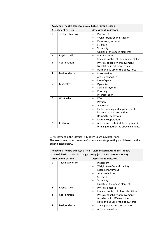|                | <b>Assessment criteria</b> | <b>Assessment indicators</b>                                                                                                                          |  |  |
|----------------|----------------------------|-------------------------------------------------------------------------------------------------------------------------------------------------------|--|--|
| $\mathbf{1}$   | <b>Technical control</b>   | Placement<br>Weight transfer and stability<br>Extensions/turn-out<br>Strength<br>Virtuosity<br>Quality of the above elements                          |  |  |
| $\overline{2}$ | Physical skill             | Physical potential<br>$\bullet$<br>Use and control of the physical abilities                                                                          |  |  |
| 3              | Coordination               | Physical capability of movement<br>$\bullet$<br>translation in different styles<br>Harmonious use of the body, torso                                  |  |  |
| 4              | Feel for dance             | Presentation<br>Artistic capacities<br>Use of space                                                                                                   |  |  |
| 5              | Musicality                 | Dynamism<br>$\bullet$<br>Sense of rhythm<br>Phrasing<br>Interpretation                                                                                |  |  |
| 6              | Work ethic                 | Effort<br>Passion<br>Awareness<br>Understanding and application of<br>instructions and corrections<br>Respectful behaviour<br>Mutual cooperation<br>٠ |  |  |
| 7              | Progress                   | Artistic and technical development in<br>bringing together the above elements                                                                         |  |  |

2. Assessment in the Classical & Modern Exam in March/April. The assessment takes the form of an exam in a stage setting and is based on the criteria listed below.

**Academic Theatre Dance/classical - Class material Academic Theatre Dance/classical ballet in a stage setting (Classical & Modern Exam)**

|               | <b>Assessment criteria</b> | <b>Assessment indicators</b>               |
|---------------|----------------------------|--------------------------------------------|
| 1             | <b>Technical control</b>   | Placement                                  |
|               |                            | Weight transfer and stability<br>$\bullet$ |
|               |                            | Extensions/turnout<br>٠                    |
|               |                            | Jump technique                             |
|               |                            | Strength<br>٠                              |
|               |                            | Virtuosity                                 |
|               |                            | Quality of the above elements<br>٠         |
| $\mathcal{P}$ | Physical skill             | Physical potential<br>٠                    |
|               |                            | Use and control of physical abilities<br>٠ |
| 3             | Coordination               | Physical capability of movement<br>٠       |
|               |                            | translation in different styles            |
|               |                            | Harmonious use of the body, torso<br>٠     |
| 4             | Feel for dance             | Stage persona and presentation<br>٠        |
|               |                            | Artistic capacities                        |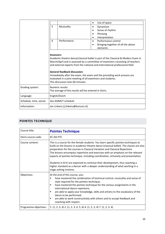|                        |                                                                          |                                                                                                                                         | Use of space<br>$\bullet$                                                                                                                                                                                                                                                                                                      |
|------------------------|--------------------------------------------------------------------------|-----------------------------------------------------------------------------------------------------------------------------------------|--------------------------------------------------------------------------------------------------------------------------------------------------------------------------------------------------------------------------------------------------------------------------------------------------------------------------------|
|                        | 5                                                                        | Musicality                                                                                                                              | Dynamism<br>٠                                                                                                                                                                                                                                                                                                                  |
|                        |                                                                          |                                                                                                                                         | Sense of rhythm                                                                                                                                                                                                                                                                                                                |
|                        |                                                                          |                                                                                                                                         | Phrasing<br>$\bullet$                                                                                                                                                                                                                                                                                                          |
|                        |                                                                          |                                                                                                                                         | Interpretation<br>$\bullet$                                                                                                                                                                                                                                                                                                    |
|                        | 6                                                                        | Performance                                                                                                                             | Performance control<br>$\bullet$                                                                                                                                                                                                                                                                                               |
|                        |                                                                          |                                                                                                                                         | Bringing together of all the above<br>٠<br>elements                                                                                                                                                                                                                                                                            |
|                        | Assessors:                                                               | <b>General feedback discussion:</b><br>evaluated in a joint meeting of all examiners and students.<br>This discussion lasts 60 minutes. | Academic theatre dance/classical ballet is part of the Classical & Modern Exam in<br>March/April and is assessed by a committee of examiners consisting of teachers<br>and external experts from the national and international professional field.<br>Immediately after the exam, the exam and the preceding work process are |
| Grading system:        | Numeric results<br>The average of the results will be entered in Osiris. |                                                                                                                                         |                                                                                                                                                                                                                                                                                                                                |
| Language:              |                                                                          | English/Dutch                                                                                                                           |                                                                                                                                                                                                                                                                                                                                |
| Schedule, time, venue: |                                                                          | See ASIMUT schedule                                                                                                                     |                                                                                                                                                                                                                                                                                                                                |
| Information:           |                                                                          | Jan Linkens (j.linkens@koncon.nl)                                                                                                       |                                                                                                                                                                                                                                                                                                                                |

## <span id="page-9-0"></span>**POINTES TECHNIQUE**

| Course title:         | <b>Pointes Technique</b>                                                                                                                                                                                                                                                                                                                                                                                                                                                                                                                                                                                                          |  |  |  |
|-----------------------|-----------------------------------------------------------------------------------------------------------------------------------------------------------------------------------------------------------------------------------------------------------------------------------------------------------------------------------------------------------------------------------------------------------------------------------------------------------------------------------------------------------------------------------------------------------------------------------------------------------------------------------|--|--|--|
| Osiris course code:   | <b>KC-DA-PTC</b>                                                                                                                                                                                                                                                                                                                                                                                                                                                                                                                                                                                                                  |  |  |  |
| Course content:       | This is a course for the female students. You learn specific pointes techniques to<br>build on the lessons in academic theatre dance (classical ballet). The classes are also<br>preparation for the courses in Classical Variation and Classical Repertoire.<br>The lessons encompass repertoire and exercises with an emphasis on the relevant<br>aspects of pointes technique, including coordination, virtuosity and presentation.<br>Students in B-IV are expected to continue their development, thus reaching a<br>higher standard as a dancer with a deeper understanding of what working in a<br>stage setting involves. |  |  |  |
| Objectives:           | At the end of this course, you:<br>have mastered the combination of technical control, musicality and sense of<br>п<br>style required for the pointes technique;<br>have mastered the pointes technique for the various assignments in the<br>п<br>international dance repertoire;<br>are able to apply your knowledge, skills and artistry to the vocabulary of the<br>٠<br>dance to be performed;<br>are able to work constructively with others and to accept feedback and<br>٠<br>coaching with respect.                                                                                                                      |  |  |  |
| Programme objectives: | 1. $(1, 2, 3, 4)$ 2. $(1, 2, 3, 4, 5, 6)$ 4. $(1, 2, 3, 4)$ 7. $(1, 2, 3, 4)$                                                                                                                                                                                                                                                                                                                                                                                                                                                                                                                                                     |  |  |  |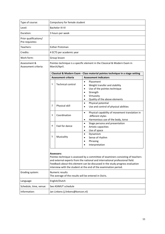| Type of course:                          | Compulsory for female student                                                                                                                                                                                                                                                                                                              |                            |                                                                                                                                                                              |  |  |  |
|------------------------------------------|--------------------------------------------------------------------------------------------------------------------------------------------------------------------------------------------------------------------------------------------------------------------------------------------------------------------------------------------|----------------------------|------------------------------------------------------------------------------------------------------------------------------------------------------------------------------|--|--|--|
| Level:                                   | <b>Bachelor III-IV</b>                                                                                                                                                                                                                                                                                                                     |                            |                                                                                                                                                                              |  |  |  |
| Duration:                                | 3 hours per week                                                                                                                                                                                                                                                                                                                           |                            |                                                                                                                                                                              |  |  |  |
| Prior qualifications/<br>Pre-requisites: |                                                                                                                                                                                                                                                                                                                                            |                            |                                                                                                                                                                              |  |  |  |
| Teachers:                                |                                                                                                                                                                                                                                                                                                                                            | <b>Esther Protzman</b>     |                                                                                                                                                                              |  |  |  |
| Credits:                                 |                                                                                                                                                                                                                                                                                                                                            | 4 ECTS per academic year   |                                                                                                                                                                              |  |  |  |
| Work form:                               |                                                                                                                                                                                                                                                                                                                                            | Group lesson               |                                                                                                                                                                              |  |  |  |
| Assessment &<br>Assessment criteria:     |                                                                                                                                                                                                                                                                                                                                            | March/April.               | Pointes technique is a specific element in the Classical & Modern Exam in                                                                                                    |  |  |  |
|                                          |                                                                                                                                                                                                                                                                                                                                            |                            | Classical & Modern Exam - Class material pointes technique in a stage setting                                                                                                |  |  |  |
|                                          |                                                                                                                                                                                                                                                                                                                                            | <b>Assessment criteria</b> | <b>Assessment indicators</b>                                                                                                                                                 |  |  |  |
|                                          | 1                                                                                                                                                                                                                                                                                                                                          | <b>Technical control</b>   | Placement<br>Weight transfer and stability<br>Use of the pointes technique<br>$\bullet$<br>Strength<br>$\bullet$<br>Virtuosity<br>Quality of the above elements<br>$\bullet$ |  |  |  |
|                                          | 2                                                                                                                                                                                                                                                                                                                                          | Physical skill             | Physical potential<br>$\bullet$<br>Use and control of physical abilities                                                                                                     |  |  |  |
|                                          | 3                                                                                                                                                                                                                                                                                                                                          | Coordination               | Physical capability of movement translation in<br>$\bullet$<br>different styles<br>Harmonious use of the body, torso<br>$\bullet$                                            |  |  |  |
|                                          | 4                                                                                                                                                                                                                                                                                                                                          | Feel for dance             | Stage persona and presentation<br>$\bullet$<br>Artistic capacities<br>$\bullet$<br>Use of space<br>$\bullet$                                                                 |  |  |  |
|                                          | 5                                                                                                                                                                                                                                                                                                                                          | Musicality                 | Dynamism<br>$\bullet$<br>Sense of rhythm<br>$\bullet$<br>Phrasing<br>Interpretation                                                                                          |  |  |  |
|                                          | <b>Assessors:</b><br>Pointes technique is assessed by a committee of examiners consisting of teachers<br>and external experts from the national and international professional field.<br>Feedback about this element can be discussed in the study progress evaluation<br>interview with the student at the end of the examination period. |                            |                                                                                                                                                                              |  |  |  |
| Grading system:                          | Numeric results<br>The average of the results will be entered in Osiris.                                                                                                                                                                                                                                                                   |                            |                                                                                                                                                                              |  |  |  |
| Language:                                | English/Dutch                                                                                                                                                                                                                                                                                                                              |                            |                                                                                                                                                                              |  |  |  |
| Schedule, time, venue:                   | See ASIMUT schedule                                                                                                                                                                                                                                                                                                                        |                            |                                                                                                                                                                              |  |  |  |
| Information:                             | Jan Linkens (j.linkens@koncon.nl)                                                                                                                                                                                                                                                                                                          |                            |                                                                                                                                                                              |  |  |  |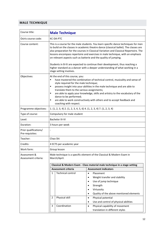## <span id="page-11-0"></span>**MALE TECHNIQUE**

| Course title:                                                                                                                  | <b>Male Technique</b>                                                                                                                                                                                                                                                                                                                                                                                                                                                                                                   |                                                                                 |  |  |  |  |
|--------------------------------------------------------------------------------------------------------------------------------|-------------------------------------------------------------------------------------------------------------------------------------------------------------------------------------------------------------------------------------------------------------------------------------------------------------------------------------------------------------------------------------------------------------------------------------------------------------------------------------------------------------------------|---------------------------------------------------------------------------------|--|--|--|--|
| Osiris course code:                                                                                                            | <b>KC-DA-PTC</b>                                                                                                                                                                                                                                                                                                                                                                                                                                                                                                        |                                                                                 |  |  |  |  |
| Course content:                                                                                                                | This is a course for the male students. You learn specific dance techniques for men<br>to build on the classes in academic theatre dance (classical ballet). The classes are<br>also preparation for the courses in Classical Variation and Classical Repertoire. The<br>lessons encompass repertoire and exercises in male technique, with an emphasis<br>on relevant aspects such as batterie and the quality of jumping.                                                                                             |                                                                                 |  |  |  |  |
|                                                                                                                                | Students in B-IV are expected to continue their development, thus reaching a<br>higher standard as a dancer with a deeper understanding of what working in a<br>stage setting involves.                                                                                                                                                                                                                                                                                                                                 |                                                                                 |  |  |  |  |
| Objectives:                                                                                                                    | At the end of this course, you:<br>have mastered the combination of technical control, musicality and sense of<br>Ξ<br>style required for the male technique;<br>possess insight into your abilities in the male technique and are able to<br>Ξ<br>translate them to the various assignments;<br>are able to apply your knowledge, skills and artistry to the vocabulary of the<br>٠<br>dance to be performed;<br>are able to work constructively with others and to accept feedback and<br>٠<br>coaching with respect. |                                                                                 |  |  |  |  |
| Programme objectives:                                                                                                          | 1. $(1, 2, 3, 4)$ 2. $(1, 2, 3, 4, 5, 6)$ 4. $(1, 2, 3, 4)$ 7. $(1, 2, 3, 4)$                                                                                                                                                                                                                                                                                                                                                                                                                                           |                                                                                 |  |  |  |  |
| Type of course:                                                                                                                | Compulsory for male student                                                                                                                                                                                                                                                                                                                                                                                                                                                                                             |                                                                                 |  |  |  |  |
| Level:                                                                                                                         | <b>Bachelor III-IV</b>                                                                                                                                                                                                                                                                                                                                                                                                                                                                                                  |                                                                                 |  |  |  |  |
| Duration:                                                                                                                      | 3 hours per week                                                                                                                                                                                                                                                                                                                                                                                                                                                                                                        |                                                                                 |  |  |  |  |
| Prior qualifications/<br>Pre-requisites:                                                                                       |                                                                                                                                                                                                                                                                                                                                                                                                                                                                                                                         |                                                                                 |  |  |  |  |
| Teacher:                                                                                                                       | Chao Shi                                                                                                                                                                                                                                                                                                                                                                                                                                                                                                                |                                                                                 |  |  |  |  |
| Credits:                                                                                                                       | 4 ECTS per academic year                                                                                                                                                                                                                                                                                                                                                                                                                                                                                                |                                                                                 |  |  |  |  |
| Work form:                                                                                                                     | Group lesson                                                                                                                                                                                                                                                                                                                                                                                                                                                                                                            |                                                                                 |  |  |  |  |
| Male technique is a specific element of the Classical & Modern Exam in<br>Assessment &<br>March/April.<br>Assessment criteria: |                                                                                                                                                                                                                                                                                                                                                                                                                                                                                                                         |                                                                                 |  |  |  |  |
|                                                                                                                                |                                                                                                                                                                                                                                                                                                                                                                                                                                                                                                                         | Classical & Modern Exam - Class material male technique in a stage setting      |  |  |  |  |
|                                                                                                                                | <b>Assessment criteria</b><br><b>Technical control</b>                                                                                                                                                                                                                                                                                                                                                                                                                                                                  | <b>Assessment indicators</b>                                                    |  |  |  |  |
|                                                                                                                                | 1                                                                                                                                                                                                                                                                                                                                                                                                                                                                                                                       | Placement<br>$\bullet$<br>Weight transfer and stability<br>$\bullet$            |  |  |  |  |
|                                                                                                                                |                                                                                                                                                                                                                                                                                                                                                                                                                                                                                                                         | Use of jump technique<br>$\bullet$                                              |  |  |  |  |
|                                                                                                                                |                                                                                                                                                                                                                                                                                                                                                                                                                                                                                                                         | Strength                                                                        |  |  |  |  |
|                                                                                                                                |                                                                                                                                                                                                                                                                                                                                                                                                                                                                                                                         | Virtuosity<br>$\bullet$                                                         |  |  |  |  |
|                                                                                                                                |                                                                                                                                                                                                                                                                                                                                                                                                                                                                                                                         | Quality of the above mentioned elements<br>$\bullet$                            |  |  |  |  |
|                                                                                                                                | Physical skill<br>2                                                                                                                                                                                                                                                                                                                                                                                                                                                                                                     | Physical potential<br>$\bullet$                                                 |  |  |  |  |
|                                                                                                                                |                                                                                                                                                                                                                                                                                                                                                                                                                                                                                                                         | Use and control of physical abilities<br>$\bullet$                              |  |  |  |  |
|                                                                                                                                | Coordination<br>3                                                                                                                                                                                                                                                                                                                                                                                                                                                                                                       | Physical capability of movement<br>$\bullet$<br>translation in different styles |  |  |  |  |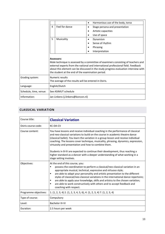|                        |                                                                          |                                                                 | Harmonious use of the body, torso<br>$\bullet$                                                                                                                                                                                                                |
|------------------------|--------------------------------------------------------------------------|-----------------------------------------------------------------|---------------------------------------------------------------------------------------------------------------------------------------------------------------------------------------------------------------------------------------------------------------|
|                        | 4                                                                        | Feel for dance                                                  | Stage persona and presentation<br>٠                                                                                                                                                                                                                           |
|                        |                                                                          |                                                                 | Artistic capacities<br>$\bullet$                                                                                                                                                                                                                              |
|                        |                                                                          |                                                                 | Use of space<br>$\bullet$                                                                                                                                                                                                                                     |
|                        | 5                                                                        | Musicality                                                      | Dynamism<br>٠                                                                                                                                                                                                                                                 |
|                        |                                                                          |                                                                 | Sense of rhythm                                                                                                                                                                                                                                               |
|                        |                                                                          |                                                                 | Phrasing                                                                                                                                                                                                                                                      |
|                        |                                                                          |                                                                 | Interpretation                                                                                                                                                                                                                                                |
|                        |                                                                          | Assessors:<br>the student at the end of the examination period. | Male technique is assessed by a committee of examiners consisting of teachers and<br>external experts from the national and international professional field. Feedback<br>about this element can be discussed in the study progress evaluation interview with |
| Grading system:        | Numeric results<br>The average of the results will be entered in Osiris. |                                                                 |                                                                                                                                                                                                                                                               |
| Language:              | English/Dutch                                                            |                                                                 |                                                                                                                                                                                                                                                               |
| Schedule, time, venue: |                                                                          | See ASIMUT schedule                                             |                                                                                                                                                                                                                                                               |
| Information:           | Jan Linkens (j.linkens@koncon.nl)                                        |                                                                 |                                                                                                                                                                                                                                                               |

## <span id="page-12-0"></span>**CLASSICAL VARIATION**

| Course title:         | <b>Classical Variation</b>                                                                                                                                                                                                                                                                                                                                                                                                                                                                                                                                                        |  |  |
|-----------------------|-----------------------------------------------------------------------------------------------------------------------------------------------------------------------------------------------------------------------------------------------------------------------------------------------------------------------------------------------------------------------------------------------------------------------------------------------------------------------------------------------------------------------------------------------------------------------------------|--|--|
| Osiris course code:   | <b>KC-DA-CV</b>                                                                                                                                                                                                                                                                                                                                                                                                                                                                                                                                                                   |  |  |
| Course content:       | You have lessons and receive individual coaching in the performance of classical<br>and neo-classical variations to build on the course in academic theatre dance<br>(classical ballet). You learn the variation in a group lesson and receive individual<br>coaching. The lessons cover technique, musicality, phrasing, dynamics, expression,<br>virtuosity and presentation and how to combine them.                                                                                                                                                                           |  |  |
|                       | Students in B-IV are expected to continue their development, thus reaching a<br>higher standard as a dancer with a deeper understanding of what working in a<br>stage setting involves.                                                                                                                                                                                                                                                                                                                                                                                           |  |  |
| Objectives:           | At the end of this course, you:<br>possess the coordination to perform a classical/neo-classical variation in an<br>٠<br>appropriate musical, technical, expressive and virtuoso style;<br>are able to adapt your personality and artistic presentation to the different<br>$\blacksquare$<br>styles of classical/neo-classical variations in the international dance repertoire;<br>are able to apply your knowledge, skills and artistry to the chosen variation;<br>٠<br>are able to work constructively with others and to accept feedback and<br>٠<br>coaching with respect. |  |  |
| Programme objectives: | 1. $(1, 2, 3, 4)$ 2. $(1, 2, 3, 4, 5, 6)$ , 4. $(1, 2, 3, 4)$ 7. $(1, 2, 3, 4)$                                                                                                                                                                                                                                                                                                                                                                                                                                                                                                   |  |  |
| Type of course:       | Compulsory                                                                                                                                                                                                                                                                                                                                                                                                                                                                                                                                                                        |  |  |
| Level:                | Bachelor III-IV                                                                                                                                                                                                                                                                                                                                                                                                                                                                                                                                                                   |  |  |
| Duration:             | 2.5 hours per week                                                                                                                                                                                                                                                                                                                                                                                                                                                                                                                                                                |  |  |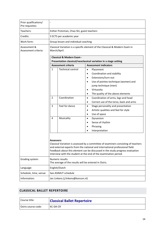| Prior qualifications/<br>Pre-requisites: |                                                                                                          |                                                                          |                                                                                                                                                                                                                                                                                                                                                                                                                                                                                                                                                                                                     |  |
|------------------------------------------|----------------------------------------------------------------------------------------------------------|--------------------------------------------------------------------------|-----------------------------------------------------------------------------------------------------------------------------------------------------------------------------------------------------------------------------------------------------------------------------------------------------------------------------------------------------------------------------------------------------------------------------------------------------------------------------------------------------------------------------------------------------------------------------------------------------|--|
| Teachers:                                | Esther Protzman, Chao Shi, guest teachers                                                                |                                                                          |                                                                                                                                                                                                                                                                                                                                                                                                                                                                                                                                                                                                     |  |
| Credits:                                 | 3 ECTS per academic year                                                                                 |                                                                          |                                                                                                                                                                                                                                                                                                                                                                                                                                                                                                                                                                                                     |  |
| Work form:                               |                                                                                                          | Group lesson and individual coaching                                     |                                                                                                                                                                                                                                                                                                                                                                                                                                                                                                                                                                                                     |  |
| Assessment &<br>Assessment criteria:     | Classical Variation is a specific element of the Classical & Modern Exam in<br>March/April.              |                                                                          |                                                                                                                                                                                                                                                                                                                                                                                                                                                                                                                                                                                                     |  |
|                                          | <b>Classical &amp; Modern Exam -</b><br>Presentation classical/neoclassical variation in a stage setting |                                                                          |                                                                                                                                                                                                                                                                                                                                                                                                                                                                                                                                                                                                     |  |
|                                          |                                                                                                          | <b>Assessment criteria</b>                                               | <b>Assessment indicators</b>                                                                                                                                                                                                                                                                                                                                                                                                                                                                                                                                                                        |  |
|                                          | $\mathbf{1}$<br>$\overline{2}$<br>3<br>4                                                                 | <b>Technical control</b><br>Coordination<br>Feel for dance<br>Musicality | Placement<br>$\bullet$<br>Coordination and stability<br>$\bullet$<br>Extensions/turn-out<br>$\bullet$<br>Use of pointes technique (women) and<br>$\bullet$<br>jump technique (men)<br>Virtuosity<br>$\bullet$<br>The quality of the above elements<br>$\bullet$<br>Coordination of arms, legs and head<br>$\bullet$<br>Correct use of the torso, back and arms<br>$\bullet$<br>Stage personality and presentation<br>$\bullet$<br>Artistic qualities and feel for style<br>$\bullet$<br>Use of space<br>$\bullet$<br>Dynamism<br>$\bullet$<br>Sense of rhythm<br>$\bullet$<br>Phrasing<br>$\bullet$ |  |
| Grading system:                          | <b>Assessors:</b>                                                                                        | Numeric results<br>The average of the results will be entered in Osiris. | Interpretation<br>$\bullet$<br>Classical Variation is assessed by a committee of examiners consisting of teachers<br>and external experts from the national and international professional field.<br>Feedback about this element can be discussed in the study progress evaluation<br>interview with the student at the end of the examination period.                                                                                                                                                                                                                                              |  |
| Language:                                | English/Dutch                                                                                            |                                                                          |                                                                                                                                                                                                                                                                                                                                                                                                                                                                                                                                                                                                     |  |
| Schedule, time, venue:                   | See ASIMUT schedule                                                                                      |                                                                          |                                                                                                                                                                                                                                                                                                                                                                                                                                                                                                                                                                                                     |  |
| Information:                             | Jan Linkens (j.linkens@koncon.nl)                                                                        |                                                                          |                                                                                                                                                                                                                                                                                                                                                                                                                                                                                                                                                                                                     |  |

## <span id="page-13-0"></span>**CLASSICAL BALLET REPERTOIRE**

| l Course title:       | <b>Classical Ballet Repertoire</b> |  |
|-----------------------|------------------------------------|--|
| l Osiris course code: | KC-DA-CR                           |  |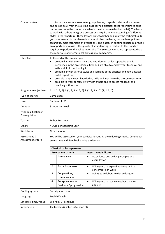| Course content:                          | In this course you study solo roles, group dances, corps de ballet work and solos<br>and pas de deux from the existing classical/neo-classical ballet repertoire to build<br>on the lessons in the course in academic theatre dance (classical ballet). You learn<br>to work with others in a group process and acquire an understanding of different<br>styles in the repertoire. These lessons bring together and apply the technical skills<br>you have learned in the classes in academic theatre dance, pas de deux, pointes<br>technique, male technique and variations. The classes in existing repertoire provide<br>an opportunity to assess the quality of your dancing in relation to the standard<br>required to perform the ballet repertoire. The selected works are representative of<br>the repertoire of international professional companies. |                                                                           |  |  |
|------------------------------------------|-----------------------------------------------------------------------------------------------------------------------------------------------------------------------------------------------------------------------------------------------------------------------------------------------------------------------------------------------------------------------------------------------------------------------------------------------------------------------------------------------------------------------------------------------------------------------------------------------------------------------------------------------------------------------------------------------------------------------------------------------------------------------------------------------------------------------------------------------------------------|---------------------------------------------------------------------------|--|--|
| Objectives:                              | At the end of this course, you:<br>are familiar with the classical and neo-classical ballet repertoire that is<br>performed in the professional field and are able to employ your technical and<br>artistic skills in performing it;<br>are familiar with various styles and versions of the classical and neo-classical<br>٠<br>ballet repertoire;<br>are able to apply your knowledge, skills and artistry to the chosen repertoire;<br>٠<br>are able to work constructively with others and to accept feedback and<br>٠<br>coaching with respect.                                                                                                                                                                                                                                                                                                            |                                                                           |  |  |
| Programme objectives:                    | 1. $(1, 2, 3, 4)$ 2. $(1, 2, 3, 4, 5, 6)$ 4. $(1, 2, 3, 4)$ 7. $(1, 2, 3, 4)$                                                                                                                                                                                                                                                                                                                                                                                                                                                                                                                                                                                                                                                                                                                                                                                   |                                                                           |  |  |
| Type of course:                          | Compulsory                                                                                                                                                                                                                                                                                                                                                                                                                                                                                                                                                                                                                                                                                                                                                                                                                                                      |                                                                           |  |  |
| Level:                                   | <b>Bachelor III-IV</b>                                                                                                                                                                                                                                                                                                                                                                                                                                                                                                                                                                                                                                                                                                                                                                                                                                          |                                                                           |  |  |
| Duration:                                | 3 hours per week                                                                                                                                                                                                                                                                                                                                                                                                                                                                                                                                                                                                                                                                                                                                                                                                                                                |                                                                           |  |  |
| Prior qualifications/<br>Pre-requisites: |                                                                                                                                                                                                                                                                                                                                                                                                                                                                                                                                                                                                                                                                                                                                                                                                                                                                 |                                                                           |  |  |
| Teacher:                                 | <b>Esther Protzman</b>                                                                                                                                                                                                                                                                                                                                                                                                                                                                                                                                                                                                                                                                                                                                                                                                                                          |                                                                           |  |  |
| Credits:                                 | 4 ECTS per academic year                                                                                                                                                                                                                                                                                                                                                                                                                                                                                                                                                                                                                                                                                                                                                                                                                                        |                                                                           |  |  |
| Work form:                               | Group lesson                                                                                                                                                                                                                                                                                                                                                                                                                                                                                                                                                                                                                                                                                                                                                                                                                                                    |                                                                           |  |  |
| Assessment &<br>Assessment criteria:     | You will be assessed on your participation, using the following criteria. Continuous<br>assessment with feedback during the lessons.<br><b>Classical ballet repertoire</b>                                                                                                                                                                                                                                                                                                                                                                                                                                                                                                                                                                                                                                                                                      |                                                                           |  |  |
|                                          | <b>Assessment criteria</b>                                                                                                                                                                                                                                                                                                                                                                                                                                                                                                                                                                                                                                                                                                                                                                                                                                      | <b>Assessment indicators</b>                                              |  |  |
|                                          | $\mathbf{1}$<br>Attendance                                                                                                                                                                                                                                                                                                                                                                                                                                                                                                                                                                                                                                                                                                                                                                                                                                      | Attendance and active participation at<br>$\bullet$<br>every lesson       |  |  |
|                                          | $\overline{2}$<br>Focus / openness                                                                                                                                                                                                                                                                                                                                                                                                                                                                                                                                                                                                                                                                                                                                                                                                                              | Willingness to expand horizons and to<br>$\bullet$<br>concentrate on work |  |  |
|                                          | 3<br>Cooperation /<br>communication                                                                                                                                                                                                                                                                                                                                                                                                                                                                                                                                                                                                                                                                                                                                                                                                                             | Ability to collaborate with colleagues<br>$\bullet$                       |  |  |
|                                          | 4<br>Receptiveness to<br>feedback / progression                                                                                                                                                                                                                                                                                                                                                                                                                                                                                                                                                                                                                                                                                                                                                                                                                 | Willingness to receive feedback and to<br>$\bullet$<br>apply it           |  |  |
| Grading system:                          | Participation results                                                                                                                                                                                                                                                                                                                                                                                                                                                                                                                                                                                                                                                                                                                                                                                                                                           |                                                                           |  |  |
| Language:                                | English/Dutch                                                                                                                                                                                                                                                                                                                                                                                                                                                                                                                                                                                                                                                                                                                                                                                                                                                   |                                                                           |  |  |
| Schedule, time, venue:                   | See ASIMUT schedule                                                                                                                                                                                                                                                                                                                                                                                                                                                                                                                                                                                                                                                                                                                                                                                                                                             |                                                                           |  |  |
| Information:                             | Jan Linkens (j.linkens@koncon.nl)                                                                                                                                                                                                                                                                                                                                                                                                                                                                                                                                                                                                                                                                                                                                                                                                                               |                                                                           |  |  |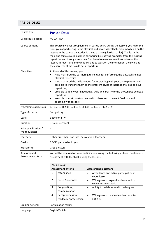## <span id="page-15-0"></span>**PAS DE DEUX**

| Course title:                            | <b>Pas de Deux</b>                                                                                                                                                                                                                                                                                                                                                                                                                                                                                                                                                            |                                                                               |                                                                            |  |
|------------------------------------------|-------------------------------------------------------------------------------------------------------------------------------------------------------------------------------------------------------------------------------------------------------------------------------------------------------------------------------------------------------------------------------------------------------------------------------------------------------------------------------------------------------------------------------------------------------------------------------|-------------------------------------------------------------------------------|----------------------------------------------------------------------------|--|
| Osiris course code:                      | <b>KC-DA-PDD</b>                                                                                                                                                                                                                                                                                                                                                                                                                                                                                                                                                              |                                                                               |                                                                            |  |
| Course content:                          | This course involves group lessons in pas de deux. During the lessons you learn the<br>principles of partnering in the classical and neo-classical ballet idiom to build on the<br>lessons in the course on academic theatre dance (classical ballet). You learn the<br>male and female roles in dance partnering by studying examples from the existing<br>repertoire and through exercises. You learn to make connections between the<br>lessons in repertoire and variations and to work on the interaction, the style and<br>the character of the pas de deux repertoire. |                                                                               |                                                                            |  |
| Objectives:                              | At the end of this course, you:<br>have mastered the partnering technique for performing the classical and neo-<br>classical repertoire;<br>$\blacksquare$<br>have mastered the skills needed for interacting with your dance partner and<br>are able to translate them to the different styles of international pas de deux<br>repertoire;<br>are able to apply your knowledge, skills and artistry to the chosen pas de deux<br>Ξ<br>repertoire;<br>are able to work constructively with others and to accept feedback and<br>٠<br>coaching with respect.                   |                                                                               |                                                                            |  |
| Programme objectives:                    |                                                                                                                                                                                                                                                                                                                                                                                                                                                                                                                                                                               | 1. $(1, 2, 3, 4)$ 2. $(1, 2, 3, 4, 5, 6)$ 4. $(1, 2, 3, 4)$ 7. $(1, 2, 3, 4)$ |                                                                            |  |
| Type of course:                          | Compulsory                                                                                                                                                                                                                                                                                                                                                                                                                                                                                                                                                                    |                                                                               |                                                                            |  |
| Level:                                   | <b>Bachelor III-IV</b>                                                                                                                                                                                                                                                                                                                                                                                                                                                                                                                                                        |                                                                               |                                                                            |  |
| Duration:                                | 3 hours per week                                                                                                                                                                                                                                                                                                                                                                                                                                                                                                                                                              |                                                                               |                                                                            |  |
| Prior qualifications/<br>Pre-requisites: |                                                                                                                                                                                                                                                                                                                                                                                                                                                                                                                                                                               |                                                                               |                                                                            |  |
| Teachers:                                | Esther Protzman, Boris de Leeuw, guest teachers                                                                                                                                                                                                                                                                                                                                                                                                                                                                                                                               |                                                                               |                                                                            |  |
| Credits:                                 | 3 ECTS per academic year                                                                                                                                                                                                                                                                                                                                                                                                                                                                                                                                                      |                                                                               |                                                                            |  |
| Work form:                               | Group lesson                                                                                                                                                                                                                                                                                                                                                                                                                                                                                                                                                                  |                                                                               |                                                                            |  |
| Assessment &<br>Assessment criteria:     | You will be assessed on your participation, using the following criteria. Continuous<br>assessment with feedback during the lessons.                                                                                                                                                                                                                                                                                                                                                                                                                                          |                                                                               |                                                                            |  |
|                                          | Pas de Deux                                                                                                                                                                                                                                                                                                                                                                                                                                                                                                                                                                   |                                                                               |                                                                            |  |
|                                          | <b>Assessment criteria</b><br><b>Assessment indicators</b><br>Attendance<br>1<br>Attendance and active participation at<br>$\bullet$                                                                                                                                                                                                                                                                                                                                                                                                                                          |                                                                               |                                                                            |  |
|                                          |                                                                                                                                                                                                                                                                                                                                                                                                                                                                                                                                                                               |                                                                               | every lesson                                                               |  |
|                                          | $\overline{2}$                                                                                                                                                                                                                                                                                                                                                                                                                                                                                                                                                                | Focus / openness                                                              | Willingness to expand horizons and to<br>$\bullet$                         |  |
|                                          | 3                                                                                                                                                                                                                                                                                                                                                                                                                                                                                                                                                                             | Cooperation /<br>communication                                                | concentrate on work<br>Ability to collaborate with colleagues<br>$\bullet$ |  |
|                                          | 4                                                                                                                                                                                                                                                                                                                                                                                                                                                                                                                                                                             | Receptiveness to<br>feedback / progression                                    | Willingness to receive feedback and to<br>$\bullet$<br>apply it            |  |
| Grading system:                          | Participation results                                                                                                                                                                                                                                                                                                                                                                                                                                                                                                                                                         |                                                                               |                                                                            |  |
| Language:                                | English/Dutch                                                                                                                                                                                                                                                                                                                                                                                                                                                                                                                                                                 |                                                                               |                                                                            |  |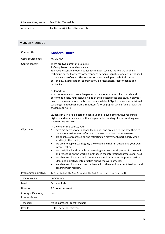| Schedule, time, venue: See ASIMUT schedule |                                   |
|--------------------------------------------|-----------------------------------|
| Information:                               | Jan Linkens (j.linkens@koncon.nl) |

## <span id="page-16-0"></span>**MODERN DANCE**

| Course title:                            | <b>Modern Dance</b>                                                                                                                                                                                                                                                                                                                                                                                                                                                                                                                                                                                                                                                                                                                                                                                                                                                |
|------------------------------------------|--------------------------------------------------------------------------------------------------------------------------------------------------------------------------------------------------------------------------------------------------------------------------------------------------------------------------------------------------------------------------------------------------------------------------------------------------------------------------------------------------------------------------------------------------------------------------------------------------------------------------------------------------------------------------------------------------------------------------------------------------------------------------------------------------------------------------------------------------------------------|
| Osiris course code:                      | KC-DA-MO                                                                                                                                                                                                                                                                                                                                                                                                                                                                                                                                                                                                                                                                                                                                                                                                                                                           |
| Course content:                          | There are two parts to this course.<br>1. Group lesson in modern dance<br>You have lessons in modern dance techniques, such as the Martha Graham<br>technique or the teacher/choreographer's personal signature and are introduced<br>to the diversity of styles. The lessons focus on developing technical control,<br>personality, interpretation, coordination, expressiveness, feel for dance and<br>musicality.                                                                                                                                                                                                                                                                                                                                                                                                                                               |
|                                          | 2. Repertoire<br>You choose one work from five pieces in the modern repertoire to study and<br>perform as a solo. You receive a video of the selected piece and study it on your<br>own. In the week before the Modern exam in March/April, you receive individual<br>coaching and feedback from a repetiteur/choreographer who is familiar with the<br>chosen repertoire.                                                                                                                                                                                                                                                                                                                                                                                                                                                                                         |
|                                          | Students in B-IV are expected to continue their development, thus reaching a<br>higher standard as a dancer with a deeper understanding of what working in a<br>stage setting involves.                                                                                                                                                                                                                                                                                                                                                                                                                                                                                                                                                                                                                                                                            |
| Objectives:                              | At the end of this course, you:<br>have mastered modern dance techniques and are able to translate them to<br>٠<br>the various assignments of modern dance vocabulary and repertoire;<br>are capable of researching and reflecting on movement, particularly while<br>٠<br>working in the studio;<br>are able to apply new insights, knowledge and skills in developing your own<br>٠<br>interpretation;<br>are disciplined and capable of managing your own work process in the studio<br>٠<br>and reflecting on the working methods in the international professional field;<br>are able to collaborate and communicate well with others in putting artistic<br>$\bullet$<br>ideas and objectives into practice during the work process;<br>are able to collaborate constructively with others and to accept feedback and<br>$\bullet$<br>coaching with respect. |
| Programme objectives:                    | 1. $(1, 2, 3, 4)$ 2. $(1, 2, 3, 4, 5, 6)$ 4. $(1, 2, 3, 4)$ 6. $(1, 2, 3)$ 7. $(1, 2, 3, 4)$                                                                                                                                                                                                                                                                                                                                                                                                                                                                                                                                                                                                                                                                                                                                                                       |
| Type of course:                          | Compulsory                                                                                                                                                                                                                                                                                                                                                                                                                                                                                                                                                                                                                                                                                                                                                                                                                                                         |
| Level:                                   | <b>Bachelor III-IV</b>                                                                                                                                                                                                                                                                                                                                                                                                                                                                                                                                                                                                                                                                                                                                                                                                                                             |
| Duration:                                | 2.5 hours per week                                                                                                                                                                                                                                                                                                                                                                                                                                                                                                                                                                                                                                                                                                                                                                                                                                                 |
| Prior qualifications/<br>Pre-requisites: | n/a                                                                                                                                                                                                                                                                                                                                                                                                                                                                                                                                                                                                                                                                                                                                                                                                                                                                |
| Teachers:                                | Mario Camacho, guest teachers                                                                                                                                                                                                                                                                                                                                                                                                                                                                                                                                                                                                                                                                                                                                                                                                                                      |
| Credits:                                 | 6 ECTS per academic year                                                                                                                                                                                                                                                                                                                                                                                                                                                                                                                                                                                                                                                                                                                                                                                                                                           |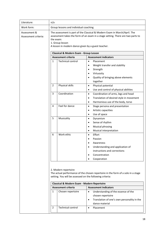| Literature:                          | n/a                                                                                                                                                                                                                                                |                                                                                                                                                                      |                                                          |  |  |
|--------------------------------------|----------------------------------------------------------------------------------------------------------------------------------------------------------------------------------------------------------------------------------------------------|----------------------------------------------------------------------------------------------------------------------------------------------------------------------|----------------------------------------------------------|--|--|
| Work form:                           | Group lessons and individual coaching                                                                                                                                                                                                              |                                                                                                                                                                      |                                                          |  |  |
| Assessment &<br>Assessment criteria: | The assessment is part of the Classical & Modern Exam in March/April. The<br>assessment takes the form of an exam in a stage setting. There are two parts to<br>the exam:<br>1. Group lesson<br>A lesson in modern dance given by a guest teacher. |                                                                                                                                                                      |                                                          |  |  |
|                                      |                                                                                                                                                                                                                                                    | Classical & Modern Exam - Group Lesson                                                                                                                               |                                                          |  |  |
|                                      |                                                                                                                                                                                                                                                    | <b>Assessment criteria</b>                                                                                                                                           | <b>Assessment indicators</b>                             |  |  |
|                                      | $\mathbf{1}$                                                                                                                                                                                                                                       | <b>Technical control</b>                                                                                                                                             | Placement<br>$\bullet$                                   |  |  |
|                                      |                                                                                                                                                                                                                                                    |                                                                                                                                                                      | Weight transfer and stability<br>Strength<br>$\bullet$   |  |  |
|                                      |                                                                                                                                                                                                                                                    |                                                                                                                                                                      | Virtuosity<br>$\bullet$                                  |  |  |
|                                      |                                                                                                                                                                                                                                                    |                                                                                                                                                                      | Quality of bringing above elements<br>$\bullet$          |  |  |
|                                      |                                                                                                                                                                                                                                                    |                                                                                                                                                                      | together                                                 |  |  |
|                                      | $\overline{2}$                                                                                                                                                                                                                                     | Physical skills                                                                                                                                                      | Physical potential<br>$\bullet$                          |  |  |
|                                      |                                                                                                                                                                                                                                                    |                                                                                                                                                                      | Use and control of physical abilities<br>$\bullet$       |  |  |
|                                      | 3                                                                                                                                                                                                                                                  | Coordination                                                                                                                                                         | Coordination of arms, legs and head<br>$\bullet$         |  |  |
|                                      |                                                                                                                                                                                                                                                    |                                                                                                                                                                      | Translation of desired style in movement<br>$\bullet$    |  |  |
|                                      |                                                                                                                                                                                                                                                    |                                                                                                                                                                      | Harmonious use of the body, torso<br>٠                   |  |  |
|                                      | 4                                                                                                                                                                                                                                                  | Feel for dance                                                                                                                                                       | Stage persona and presentation<br>$\bullet$              |  |  |
|                                      |                                                                                                                                                                                                                                                    |                                                                                                                                                                      | Artistic capacities<br>$\bullet$                         |  |  |
|                                      |                                                                                                                                                                                                                                                    |                                                                                                                                                                      | Use of space<br>$\bullet$                                |  |  |
|                                      | 5                                                                                                                                                                                                                                                  | Musicality                                                                                                                                                           | Dynamism<br>$\bullet$                                    |  |  |
|                                      |                                                                                                                                                                                                                                                    |                                                                                                                                                                      | Sense of rhythm<br>$\bullet$                             |  |  |
|                                      |                                                                                                                                                                                                                                                    |                                                                                                                                                                      | Musical phrasing<br>$\bullet$                            |  |  |
|                                      |                                                                                                                                                                                                                                                    |                                                                                                                                                                      | Musical interpretation<br>$\bullet$                      |  |  |
|                                      | 6                                                                                                                                                                                                                                                  | Work ethic                                                                                                                                                           | Effort<br>$\bullet$                                      |  |  |
|                                      |                                                                                                                                                                                                                                                    |                                                                                                                                                                      | Passion                                                  |  |  |
|                                      |                                                                                                                                                                                                                                                    |                                                                                                                                                                      | Awareness                                                |  |  |
|                                      |                                                                                                                                                                                                                                                    |                                                                                                                                                                      | Understanding and application of                         |  |  |
|                                      |                                                                                                                                                                                                                                                    |                                                                                                                                                                      | instructions and corrections                             |  |  |
|                                      |                                                                                                                                                                                                                                                    |                                                                                                                                                                      | Concentration                                            |  |  |
|                                      |                                                                                                                                                                                                                                                    |                                                                                                                                                                      | Cooperation<br>٠                                         |  |  |
|                                      |                                                                                                                                                                                                                                                    | 2. Modern repertoire<br>The actual performance of the chosen repertoire in the form of a solo in a stage<br>setting. You will be assessed on the following criteria: |                                                          |  |  |
|                                      |                                                                                                                                                                                                                                                    | Classical & Modern Exam - Modern Repertoire                                                                                                                          |                                                          |  |  |
|                                      |                                                                                                                                                                                                                                                    | <b>Assessment criteria</b>                                                                                                                                           | <b>Assessment indicators</b>                             |  |  |
|                                      | 1                                                                                                                                                                                                                                                  | Chosen repertoire                                                                                                                                                    | Understanding of the essence of the<br>$\bullet$         |  |  |
|                                      |                                                                                                                                                                                                                                                    |                                                                                                                                                                      | chosen repertoire                                        |  |  |
|                                      |                                                                                                                                                                                                                                                    |                                                                                                                                                                      | Translation of one's own personality in the<br>$\bullet$ |  |  |
|                                      |                                                                                                                                                                                                                                                    |                                                                                                                                                                      | dance material                                           |  |  |
|                                      | 2                                                                                                                                                                                                                                                  | <b>Technical control</b>                                                                                                                                             | Placement<br>$\bullet$                                   |  |  |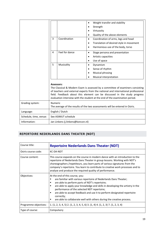|                        | 3                                                                                              | Coordination    | ٠<br>٠<br>٠<br>٠            | Weight transfer and stability<br>Strength<br>Virtuosity<br>Quality of the above elements<br>Coordination of arms, legs and head<br>Translation of desired style in movement<br>Harmonious use of the body, torso                                                                                                                |
|------------------------|------------------------------------------------------------------------------------------------|-----------------|-----------------------------|---------------------------------------------------------------------------------------------------------------------------------------------------------------------------------------------------------------------------------------------------------------------------------------------------------------------------------|
|                        | 4                                                                                              | Feel for dance  | $\bullet$<br>٠<br>$\bullet$ | Stage persona and presentation<br>Artistic capacities<br>Use of space                                                                                                                                                                                                                                                           |
|                        | 5                                                                                              | Musicality      | ٠                           | Dynamism<br>Sense of rhythm<br><b>Musical phrasing</b><br>Musical interpretation                                                                                                                                                                                                                                                |
|                        | <b>Assessors:</b>                                                                              |                 |                             | The Classical & Modern Exam is assessed by a committee of examiners consisting<br>of teachers and external experts from the national and international professional<br>field. Feedback about this element can be discussed in the study progress<br>evaluation interview with the student at the end of the examination period. |
| Grading system:        | <b>Numeric</b><br>The average of the results of the two assessments will be entered in Osiris. |                 |                             |                                                                                                                                                                                                                                                                                                                                 |
| Language:              |                                                                                                | English / Dutch |                             |                                                                                                                                                                                                                                                                                                                                 |
| Schedule, time, venue: | See ASIMUT schedule                                                                            |                 |                             |                                                                                                                                                                                                                                                                                                                                 |
| Information:           | Jan Linkens (j.linkens@koncon.nl)                                                              |                 |                             |                                                                                                                                                                                                                                                                                                                                 |

# <span id="page-18-0"></span>**REPERTOIRE NEDERLANDS DANS THEATER (NDT)**

| Course title:         | <b>Repertoire Nederlands Dans Theater (NDT)</b>                                                                                                                                                                                                                                                                                                                                                                                                                                  |  |  |
|-----------------------|----------------------------------------------------------------------------------------------------------------------------------------------------------------------------------------------------------------------------------------------------------------------------------------------------------------------------------------------------------------------------------------------------------------------------------------------------------------------------------|--|--|
| Osiris course code:   | KC-DA-NDT                                                                                                                                                                                                                                                                                                                                                                                                                                                                        |  |  |
| Course content:       | This course expands on the course in modern dance with an introduction to the<br>repertoire of Nederlands Dans Theater in group lessons. Working with NDT's<br>choreographers /repetiteurs, you learn parts of various signatures from the<br>company's repertoire. You learn to contribute to creative work processes and to<br>analyse and produce the required quality of performance.                                                                                        |  |  |
| Objectives:           | At the end of this course, you:<br>are familiar with various repertoire of Nederlands Dans Theater;<br>п<br>are able to perform parts of NDT's repertoire;<br>п<br>are able to apply your knowledge and skills in developing the artistry in the<br>п<br>performance of the selected NDT repertoire;<br>are able to accept feedback and use it to perform designated repertoire<br>п<br>correctly;<br>are able to collaborate well with others during the creative process.<br>п |  |  |
| Programme objectives: | 1. $(1, 2, 3, 4, 5)$ 2. $(1, 2, 3, 4, 5, 6)$ 3. $(1, 4)$ 4. $(1, 2, 3)$ 7. $(1, 2, 3, 4)$                                                                                                                                                                                                                                                                                                                                                                                        |  |  |
| Type of course:       | Compulsory                                                                                                                                                                                                                                                                                                                                                                                                                                                                       |  |  |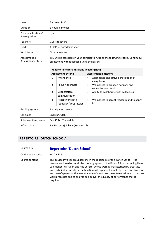| Level:                                   | <b>Bachelor III-IV</b>                                                                                                               |                          |                                                                         |  |
|------------------------------------------|--------------------------------------------------------------------------------------------------------------------------------------|--------------------------|-------------------------------------------------------------------------|--|
| Duration:                                | 3 hours per week                                                                                                                     |                          |                                                                         |  |
| Prior qualifications/<br>Pre-requisites: | n/a                                                                                                                                  |                          |                                                                         |  |
| Teachers:                                |                                                                                                                                      | Guest teachers           |                                                                         |  |
| Credits:                                 |                                                                                                                                      | 4 ECTS per academic year |                                                                         |  |
| Work form:                               |                                                                                                                                      | Groups lessons           |                                                                         |  |
| Assessment &<br>Assessment criteria:     | You will be assessed on your participation, using the following criteria. Continuous<br>assessment with feedback during the lessons. |                          |                                                                         |  |
|                                          | <b>Repertoire Nederlands Dans Theater (NDT)</b><br><b>Assessment criteria</b><br><b>Assessment indicators</b>                        |                          |                                                                         |  |
|                                          | Attendance<br>$\mathbf{1}$<br>Attendance and active participation at<br>$\bullet$<br>every lesson                                    |                          |                                                                         |  |
|                                          | $\overline{2}$                                                                                                                       | Focus / openness         | Willingness to broaden horizons and<br>$\bullet$<br>concentrate on work |  |
|                                          | 3<br>Cooperation /<br>Ability to collaborate with colleagues<br>$\bullet$<br>communication                                           |                          |                                                                         |  |
|                                          | 4<br>Receptiveness to<br>Willingness to accept feedback and to apply<br>$\bullet$<br>it<br>feedback / progression                    |                          |                                                                         |  |
| Grading system:                          | Participation results                                                                                                                |                          |                                                                         |  |
| Language                                 | English/Dutch                                                                                                                        |                          |                                                                         |  |
| Schedule, time, venue:                   | See ASIMUT schedule                                                                                                                  |                          |                                                                         |  |
| Information:                             | Jan Linkens (j.linkens@koncon.nl)                                                                                                    |                          |                                                                         |  |

## <span id="page-19-0"></span>**REPERTOIRE 'DUTCH SCHOOL'**

| Course title:       | <b>Repertoire 'Dutch School'</b>                                                                                                                                                                                                                                                                                                                                                                                                                                                                                                          |
|---------------------|-------------------------------------------------------------------------------------------------------------------------------------------------------------------------------------------------------------------------------------------------------------------------------------------------------------------------------------------------------------------------------------------------------------------------------------------------------------------------------------------------------------------------------------------|
| Osiris course code: | KC-DA-RDS                                                                                                                                                                                                                                                                                                                                                                                                                                                                                                                                 |
| Course content:     | This course involves group lessons in the repertoire of the 'Dutch School'. The<br>lessons are based on works by choreographers of the Dutch School, including Hans<br>van Manen, Jiří Kylián and Nils Christe, whose work is characterised by creativity<br>and technical virtuosity in combination with apparent simplicity, clarity of structure<br>and use of space and the essential role of music. You learn to contribute to creative<br>work processes and to analyse and deliver the quality of performance that is<br>required. |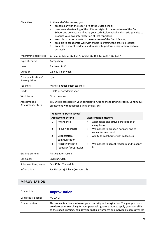| Objectives:                              | At the end of this course, you:<br>are familiar with the repertoire of the Dutch School;<br>have an understanding of the different styles in the repertoire of the Dutch<br>٠<br>School and are capable of using your technical, musical and artistic qualities to<br>produce your own interpretation of that repertoire;<br>are able to perform parts of the repertoire of the Dutch School;<br>٠<br>are able to collaborate well with others in creating the artistic product;<br>٠<br>are able to accept feedback and to use it to perform designated repertoire<br>٠<br>correctly. |                                            |                                                                                           |
|------------------------------------------|----------------------------------------------------------------------------------------------------------------------------------------------------------------------------------------------------------------------------------------------------------------------------------------------------------------------------------------------------------------------------------------------------------------------------------------------------------------------------------------------------------------------------------------------------------------------------------------|--------------------------------------------|-------------------------------------------------------------------------------------------|
| Programme objectives:                    |                                                                                                                                                                                                                                                                                                                                                                                                                                                                                                                                                                                        |                                            | 1. $(1, 2, 3, 4, 5)$ 2. $(1, 2, 3, 4, 5, 6)$ 3. $(1, 4)$ 4. $(1, 2, 3)$ 7. $(1, 2, 3, 4)$ |
| Type of course:                          |                                                                                                                                                                                                                                                                                                                                                                                                                                                                                                                                                                                        | Compulsory                                 |                                                                                           |
| Level:                                   |                                                                                                                                                                                                                                                                                                                                                                                                                                                                                                                                                                                        | <b>Bachelor III-IV</b>                     |                                                                                           |
| Duration:                                |                                                                                                                                                                                                                                                                                                                                                                                                                                                                                                                                                                                        | 2.5 hours per week                         |                                                                                           |
| Prior qualifications/<br>Pre-requisites: | n/a                                                                                                                                                                                                                                                                                                                                                                                                                                                                                                                                                                                    |                                            |                                                                                           |
| Teachers:                                | Mariëtte Redel, guest teachers                                                                                                                                                                                                                                                                                                                                                                                                                                                                                                                                                         |                                            |                                                                                           |
| Credits:                                 | 3 ECTS per academic year                                                                                                                                                                                                                                                                                                                                                                                                                                                                                                                                                               |                                            |                                                                                           |
| Work form:                               | Group lessons                                                                                                                                                                                                                                                                                                                                                                                                                                                                                                                                                                          |                                            |                                                                                           |
| Assessment &<br>Assessment criteria:     | You will be assessed on your participation, using the following criteria. Continuous<br>assessment with feedback during the lessons.                                                                                                                                                                                                                                                                                                                                                                                                                                                   |                                            |                                                                                           |
|                                          | Repertoire 'Dutch school'                                                                                                                                                                                                                                                                                                                                                                                                                                                                                                                                                              |                                            |                                                                                           |
|                                          |                                                                                                                                                                                                                                                                                                                                                                                                                                                                                                                                                                                        | <b>Assessment criteria</b>                 | <b>Assessment indicators</b>                                                              |
|                                          | 1                                                                                                                                                                                                                                                                                                                                                                                                                                                                                                                                                                                      | Attendance                                 | Attendance and active participation at<br>$\bullet$<br>every lesson                       |
|                                          | $\overline{2}$                                                                                                                                                                                                                                                                                                                                                                                                                                                                                                                                                                         | Focus / openness                           | Willingness to broaden horizons and to<br>$\bullet$<br>concentrate on work                |
|                                          | 3                                                                                                                                                                                                                                                                                                                                                                                                                                                                                                                                                                                      | Cooperation /<br>communication             | Ability to collaborate with colleagues<br>$\bullet$                                       |
|                                          | 4                                                                                                                                                                                                                                                                                                                                                                                                                                                                                                                                                                                      | Receptiveness to<br>feedback / progression | Willingness to accept feedback and to apply<br>$\bullet$<br>it                            |
| Grading system:                          | Participation results                                                                                                                                                                                                                                                                                                                                                                                                                                                                                                                                                                  |                                            |                                                                                           |
| Language:                                | English/Dutch                                                                                                                                                                                                                                                                                                                                                                                                                                                                                                                                                                          |                                            |                                                                                           |
| Schedule, time, venue:                   |                                                                                                                                                                                                                                                                                                                                                                                                                                                                                                                                                                                        | See ASIMUT schedule                        |                                                                                           |
| Information:                             | Jan Linkens (j.linkens@koncon.nl)                                                                                                                                                                                                                                                                                                                                                                                                                                                                                                                                                      |                                            |                                                                                           |

## <span id="page-20-0"></span>**IMPROVISATION**

| Course title:       | <b>Improvisation</b>                                                                                                                                                                                                                                            |
|---------------------|-----------------------------------------------------------------------------------------------------------------------------------------------------------------------------------------------------------------------------------------------------------------|
| Osiris course code: | KC-DA-CI                                                                                                                                                                                                                                                        |
| Course content:     | This course teaches you to use your creativity and imagination. The group lessons<br>are devoted to searching for your personal signature: how to apply your own skills<br>to the specific project. You develop spatial awareness and individual expressiveness |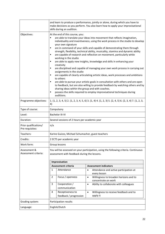|                                          | and learn to produce a performance, jointly or alone, during which you have to<br>make decisions as you perform. You also learn how to apply your improvisational<br>skills during an audition.                                                                                                                                                                                                                                                                                                                                                                                                                                                                                                                                                                                                                                                                                                                                                                                                                                                                                                                                                   |                                            |                                                                            |  |
|------------------------------------------|---------------------------------------------------------------------------------------------------------------------------------------------------------------------------------------------------------------------------------------------------------------------------------------------------------------------------------------------------------------------------------------------------------------------------------------------------------------------------------------------------------------------------------------------------------------------------------------------------------------------------------------------------------------------------------------------------------------------------------------------------------------------------------------------------------------------------------------------------------------------------------------------------------------------------------------------------------------------------------------------------------------------------------------------------------------------------------------------------------------------------------------------------|--------------------------------------------|----------------------------------------------------------------------------|--|
| Objectives:                              | At the end of this course, you:<br>are able to translate your ideas into movement that reflects imagination,<br>٠<br>individuality and inventiveness, using the work process in the studio to develop<br>your own signature<br>are in command of your skills and capable of demonstrating them through<br>٠<br>strength, flexibility, technical ability, musicality, stamina and dynamic ability<br>are capable of research and reflection on movement, particularly while<br>working in the studio<br>are able to apply new insights, knowledge and skills in enhancing your<br>٠<br>creativity<br>are disciplined and capable of managing your own work process in carrying out<br>٠<br>assignments in the studio<br>are capable of clearly articulating artistic ideas, work processes and ambitions<br>to others<br>are able to pursue your artistic goals in consultation with others and are open<br>٠<br>to feedback, but are also willing to provide feedback by watching others and by<br>sharing ideas within the group and with coaches.<br>possess the skills required to employ improvisational techniques during<br>٠<br>auditions. |                                            |                                                                            |  |
| Programme objectives:                    | 1. $(1, 2, 3, 4, 5)$ 2. $(1, 2, 3, 4, 5, 6)$ 3. $(1, 4)$ 4. $(1, 2, 3)$ 5. $(2, 4, 5)$ 6. $(2, 3, 4)$ 7. $(1, 2, 3, 4)$<br>4)                                                                                                                                                                                                                                                                                                                                                                                                                                                                                                                                                                                                                                                                                                                                                                                                                                                                                                                                                                                                                     |                                            |                                                                            |  |
| Type of course:                          |                                                                                                                                                                                                                                                                                                                                                                                                                                                                                                                                                                                                                                                                                                                                                                                                                                                                                                                                                                                                                                                                                                                                                   | Compulsory                                 |                                                                            |  |
| Level:                                   | <b>Bachelor III-IV</b>                                                                                                                                                                                                                                                                                                                                                                                                                                                                                                                                                                                                                                                                                                                                                                                                                                                                                                                                                                                                                                                                                                                            |                                            |                                                                            |  |
| Duration:                                | Several sessions of 2 hours per academic year                                                                                                                                                                                                                                                                                                                                                                                                                                                                                                                                                                                                                                                                                                                                                                                                                                                                                                                                                                                                                                                                                                     |                                            |                                                                            |  |
| Prior qualifications/<br>Pre-requisites: | n/a                                                                                                                                                                                                                                                                                                                                                                                                                                                                                                                                                                                                                                                                                                                                                                                                                                                                                                                                                                                                                                                                                                                                               |                                            |                                                                            |  |
| Teachers:                                | Karine Guizzo, Michael Schumacher, guest teachers                                                                                                                                                                                                                                                                                                                                                                                                                                                                                                                                                                                                                                                                                                                                                                                                                                                                                                                                                                                                                                                                                                 |                                            |                                                                            |  |
| Credits:                                 | 2 ECTS per academic year                                                                                                                                                                                                                                                                                                                                                                                                                                                                                                                                                                                                                                                                                                                                                                                                                                                                                                                                                                                                                                                                                                                          |                                            |                                                                            |  |
| Work form:                               | Group lessons                                                                                                                                                                                                                                                                                                                                                                                                                                                                                                                                                                                                                                                                                                                                                                                                                                                                                                                                                                                                                                                                                                                                     |                                            |                                                                            |  |
| Assessment &<br>Assessment criteria:     | You will be assessed on your participation, using the following criteria. Continuous<br>assessment with feedback during the lessons.                                                                                                                                                                                                                                                                                                                                                                                                                                                                                                                                                                                                                                                                                                                                                                                                                                                                                                                                                                                                              |                                            |                                                                            |  |
|                                          | Improvisation                                                                                                                                                                                                                                                                                                                                                                                                                                                                                                                                                                                                                                                                                                                                                                                                                                                                                                                                                                                                                                                                                                                                     |                                            |                                                                            |  |
|                                          | <b>Assessment criteria</b><br><b>Assessment indicators</b>                                                                                                                                                                                                                                                                                                                                                                                                                                                                                                                                                                                                                                                                                                                                                                                                                                                                                                                                                                                                                                                                                        |                                            |                                                                            |  |
|                                          | 1                                                                                                                                                                                                                                                                                                                                                                                                                                                                                                                                                                                                                                                                                                                                                                                                                                                                                                                                                                                                                                                                                                                                                 | Attendance                                 | Attendance and active participation at<br>$\bullet$<br>every lesson        |  |
|                                          | $\overline{2}$                                                                                                                                                                                                                                                                                                                                                                                                                                                                                                                                                                                                                                                                                                                                                                                                                                                                                                                                                                                                                                                                                                                                    | Focus / openness                           | Willingness to broaden horizons and to<br>$\bullet$<br>concentrate on work |  |
|                                          | 3                                                                                                                                                                                                                                                                                                                                                                                                                                                                                                                                                                                                                                                                                                                                                                                                                                                                                                                                                                                                                                                                                                                                                 | Cooperation /                              | Ability to collaborate with colleagues<br>$\bullet$                        |  |
|                                          |                                                                                                                                                                                                                                                                                                                                                                                                                                                                                                                                                                                                                                                                                                                                                                                                                                                                                                                                                                                                                                                                                                                                                   | communication                              |                                                                            |  |
|                                          | 4                                                                                                                                                                                                                                                                                                                                                                                                                                                                                                                                                                                                                                                                                                                                                                                                                                                                                                                                                                                                                                                                                                                                                 | Receptiveness to<br>feedback / progression | Willingness to receive feedback and to<br>$\bullet$<br>apply it            |  |
| Grading system:                          |                                                                                                                                                                                                                                                                                                                                                                                                                                                                                                                                                                                                                                                                                                                                                                                                                                                                                                                                                                                                                                                                                                                                                   | Participation results                      |                                                                            |  |
| Language:                                | English/Dutch                                                                                                                                                                                                                                                                                                                                                                                                                                                                                                                                                                                                                                                                                                                                                                                                                                                                                                                                                                                                                                                                                                                                     |                                            |                                                                            |  |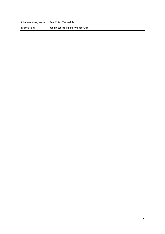| Schedule, time, venue:   See ASIMUT schedule |                                   |
|----------------------------------------------|-----------------------------------|
| Information:                                 | Jan Linkens (j.linkens@koncon.nl) |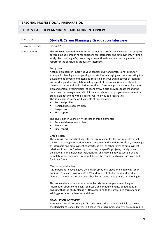## <span id="page-23-0"></span>**PERSONAL PROFESSIONAL PREPARATION**

#### <span id="page-23-1"></span>**STUDY & CAREER PLANNING/GRADUATION INTERVIEW**

| Course title:       | <b>Study &amp; Career Planning / Graduation Interview</b>                                                                                                                                                                                                                                                                                                                                                                                                                                                                                                                                                                                                                                                                                                                |
|---------------------|--------------------------------------------------------------------------------------------------------------------------------------------------------------------------------------------------------------------------------------------------------------------------------------------------------------------------------------------------------------------------------------------------------------------------------------------------------------------------------------------------------------------------------------------------------------------------------------------------------------------------------------------------------------------------------------------------------------------------------------------------------------------------|
| Osiris course code: | KC-DA-CP                                                                                                                                                                                                                                                                                                                                                                                                                                                                                                                                                                                                                                                                                                                                                                 |
| Course content:     | This course is devoted to your future career as a professional dancer. The subjects<br>covered include preparing for auditions for internships and employment, writing a<br>study plan, drafting a CV, producing a promotional video and writing a reflective<br>report for the concluding graduation interview.                                                                                                                                                                                                                                                                                                                                                                                                                                                         |
|                     | Study plan<br>A study plan helps in improving your general study and professional skills, for<br>example in planning and organising your studies, managing and demonstrating the<br>development of your competencies, reflecting on your own methods of learning<br>and working and self-regulation. A key aspect of the course is to identify and<br>discuss obstacles and find solutions for them. The study plan is a tool to help you<br>plan and organise your studies independently. It also provides teachers and the<br>department's management with information about your progress as a student. A<br>Study plan document with guidelines will help you to prepare this.<br>The study plan in Bachelor-III consists of four elements:<br>Personal profile<br>٠ |
|                     | Personal development plan<br>٠<br>Progress report<br>٠                                                                                                                                                                                                                                                                                                                                                                                                                                                                                                                                                                                                                                                                                                                   |
|                     | Final report<br>٠                                                                                                                                                                                                                                                                                                                                                                                                                                                                                                                                                                                                                                                                                                                                                        |
|                     | The study plan in Bachelor-IV consists of three elements:<br>Personal development plan<br>٠<br>Progress report<br>٠<br>Final report<br>٠                                                                                                                                                                                                                                                                                                                                                                                                                                                                                                                                                                                                                                 |
|                     | Group lesson<br>The lessons cover practical aspects that are relevant for the future professional<br>dancer: gathering information about companies and auditions for them; knowledge<br>of internship and employment contracts, as well as other forms of employment<br>relationship such as freelancing or working on specific projects; the rights and<br>obligations in an employment relationship; and learning how to write a CV and<br>complete other documents required during the course, such as a study plan and<br>feedback forms.                                                                                                                                                                                                                            |
|                     | CV/promotional video<br>It is important to have a good CV and a promotional video when applying for an<br>audition. You learn how to write a CV and to select photographs and produce<br>videos that meet the criteria prescribed by the companies you are auditioning for.                                                                                                                                                                                                                                                                                                                                                                                                                                                                                              |
|                     | This course demands an amount of self-study, for example in searching for<br>information about companies, repertoire and announcements of auditions, in<br>ensuring that the study plan is written according to the prescribed format and in<br>editing photos and videos for auditions.                                                                                                                                                                                                                                                                                                                                                                                                                                                                                 |
|                     | <b>GRADUATION INTERVIEW</b><br>After collecting all necessary ECTS credit points, the student is eligible to receive<br>the Bachelor of Dance degree. To finalise the programme, students are required to                                                                                                                                                                                                                                                                                                                                                                                                                                                                                                                                                                |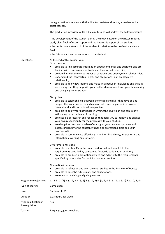|                                          | do a graduation interview with the director, assistant director, a teacher and a<br>guest teacher.                                                                                                                                                                                                                                                                                                                                                                                                                                                                                                                                                                                                                                                                                                                                                                                                                                                                                                                                                                                                                                                                                                                                                                             |
|------------------------------------------|--------------------------------------------------------------------------------------------------------------------------------------------------------------------------------------------------------------------------------------------------------------------------------------------------------------------------------------------------------------------------------------------------------------------------------------------------------------------------------------------------------------------------------------------------------------------------------------------------------------------------------------------------------------------------------------------------------------------------------------------------------------------------------------------------------------------------------------------------------------------------------------------------------------------------------------------------------------------------------------------------------------------------------------------------------------------------------------------------------------------------------------------------------------------------------------------------------------------------------------------------------------------------------|
|                                          | The graduation interview will last 45 minutes and will address the following issues:                                                                                                                                                                                                                                                                                                                                                                                                                                                                                                                                                                                                                                                                                                                                                                                                                                                                                                                                                                                                                                                                                                                                                                                           |
|                                          | - the development of the student during the study based on the written reports,<br>study plan, final reflection report and the internship report of the student.<br>- the performance standard of the student in relation to the professional dance<br>field<br>- the future plans and expectations of the student                                                                                                                                                                                                                                                                                                                                                                                                                                                                                                                                                                                                                                                                                                                                                                                                                                                                                                                                                             |
| Objectives:                              | At the end of this course, you:                                                                                                                                                                                                                                                                                                                                                                                                                                                                                                                                                                                                                                                                                                                                                                                                                                                                                                                                                                                                                                                                                                                                                                                                                                                |
|                                          | Group lesson<br>are able to find accurate information about companies and auditions and are<br>٠<br>familiar with companies worldwide and their varied repertoire;<br>are familiar with the various types of contracts and employment relationships;<br>٠<br>understand the (contractual) rights and obligations in an employment<br>٠<br>relationship;<br>are able to apply new insights and make links between knowledge and skills in<br>٠<br>such a way that they help with your further development and growth in varying<br>and changing circumstances.                                                                                                                                                                                                                                                                                                                                                                                                                                                                                                                                                                                                                                                                                                                  |
|                                          |                                                                                                                                                                                                                                                                                                                                                                                                                                                                                                                                                                                                                                                                                                                                                                                                                                                                                                                                                                                                                                                                                                                                                                                                                                                                                |
|                                          | Study plan<br>are able to establish links between knowledge and skills that develop and<br>٠<br>deepen the work process in such a way that it can be placed in a broader<br>intercultural and international perspective;<br>are able to apply your knowledge in writing the study plan and can clearly<br>٠<br>articulate your experiences in writing;<br>are capable of research and reflection that helps you to identify and analyse<br>٠<br>your own responsibility for the progress with your studies;<br>are disciplined and are capable of managing your own work process and<br>٠<br>possess insight into the constantly changing professional field and your<br>position in it;<br>are able to communicate effectively in an interdisciplinary, intercultural and<br>٠<br>international working environment.<br>CV/promotional video<br>are able to write a CV in the prescribed format and adapt it to the<br>٠<br>requirements specified by companies for participation at an audition;<br>are able to produce a promotional video and adapt it to the requirements<br>٠<br>specified by companies for participation at an audition.<br><b>Graduation interview</b><br>are able to reflect on and evaluate your studies in the Bachelor of Dance;<br>$\blacksquare$ |
|                                          | are able to describe future plans and expectations;<br>٠<br>are open to receiving and giving feedback.<br>٠                                                                                                                                                                                                                                                                                                                                                                                                                                                                                                                                                                                                                                                                                                                                                                                                                                                                                                                                                                                                                                                                                                                                                                    |
| Programme objectives:                    | 1. (4, 5) 2. (5) 3. (1, 2, 3, 4, 5, 6) 4. (1, 2, 3) 5. (1, 2, 4, 5) 6. (1, 2, 3, 4) 7. (1, 2, 3, 4)                                                                                                                                                                                                                                                                                                                                                                                                                                                                                                                                                                                                                                                                                                                                                                                                                                                                                                                                                                                                                                                                                                                                                                            |
| Type of course:                          | Compulsory                                                                                                                                                                                                                                                                                                                                                                                                                                                                                                                                                                                                                                                                                                                                                                                                                                                                                                                                                                                                                                                                                                                                                                                                                                                                     |
| Level:                                   | <b>Bachelor III-IV</b>                                                                                                                                                                                                                                                                                                                                                                                                                                                                                                                                                                                                                                                                                                                                                                                                                                                                                                                                                                                                                                                                                                                                                                                                                                                         |
| Duration:                                | 1.15 hours per week                                                                                                                                                                                                                                                                                                                                                                                                                                                                                                                                                                                                                                                                                                                                                                                                                                                                                                                                                                                                                                                                                                                                                                                                                                                            |
| Prior qualifications/<br>Pre-requisites: | n/a                                                                                                                                                                                                                                                                                                                                                                                                                                                                                                                                                                                                                                                                                                                                                                                                                                                                                                                                                                                                                                                                                                                                                                                                                                                                            |
| Teacher:                                 | Jacq Algra, guest teachers                                                                                                                                                                                                                                                                                                                                                                                                                                                                                                                                                                                                                                                                                                                                                                                                                                                                                                                                                                                                                                                                                                                                                                                                                                                     |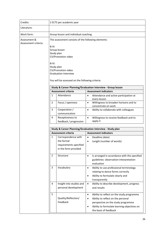| Credits:                             | 2 ECTS per academic year                                                                                                                                                                                                                             |                                                                                     |                                     |                                                                                                                                                                                               |
|--------------------------------------|------------------------------------------------------------------------------------------------------------------------------------------------------------------------------------------------------------------------------------------------------|-------------------------------------------------------------------------------------|-------------------------------------|-----------------------------------------------------------------------------------------------------------------------------------------------------------------------------------------------|
| Literature:                          |                                                                                                                                                                                                                                                      |                                                                                     |                                     |                                                                                                                                                                                               |
| Work form:                           |                                                                                                                                                                                                                                                      | Group lesson and individual coaching                                                |                                     |                                                                                                                                                                                               |
| Assessment &<br>Assessment criteria: | The assessment consists of the following elements:<br>$B-III$ :<br>Group lesson<br>Study plan<br>CV/Promotion video<br>$B-IV:$<br>Study plan<br>CV/Promotion video<br><b>Graduation Interview</b><br>You will be assessed on the following criteria: |                                                                                     |                                     |                                                                                                                                                                                               |
|                                      |                                                                                                                                                                                                                                                      |                                                                                     |                                     | <b>Study &amp; Career Planning/Graduation Interview - Group lesson</b>                                                                                                                        |
|                                      |                                                                                                                                                                                                                                                      | <b>Assessment criteria</b>                                                          |                                     | <b>Assessment indicators</b>                                                                                                                                                                  |
|                                      | 1                                                                                                                                                                                                                                                    | Attendance                                                                          | $\bullet$                           | Attendance and active participation at<br>every lesson                                                                                                                                        |
|                                      | 2                                                                                                                                                                                                                                                    | Focus / openness                                                                    | $\bullet$                           | Willingness to broaden horizons and to<br>concentrate on work                                                                                                                                 |
|                                      | 3                                                                                                                                                                                                                                                    | Cooperation /<br>communication                                                      | $\bullet$                           | Ability to collaborate with colleagues                                                                                                                                                        |
|                                      | 4                                                                                                                                                                                                                                                    | Receptiveness to<br>feedback / progression                                          | $\bullet$                           | Willingness to receive feedback and to<br>apply it                                                                                                                                            |
|                                      |                                                                                                                                                                                                                                                      | Study & Career Planning/Graduation Interview - Study plan                           |                                     |                                                                                                                                                                                               |
|                                      |                                                                                                                                                                                                                                                      | <b>Assessment criteria</b>                                                          |                                     | <b>Assessment indicators</b>                                                                                                                                                                  |
|                                      | 1                                                                                                                                                                                                                                                    | Correspondence with<br>the formal<br>requirements specified<br>in the form provided | $\bullet$<br>$\bullet$              | Deadline (date)<br>Length (number of words)                                                                                                                                                   |
|                                      | $\overline{2}$                                                                                                                                                                                                                                       | Structure                                                                           | $\bullet$                           | Is arranged in accordance with the specified<br>guidelines: observation-interpretation-<br>evaluation                                                                                         |
|                                      | 3                                                                                                                                                                                                                                                    | Vocabulary                                                                          | $\bullet$<br>$\bullet$              | Ability to use professional terminology<br>relating to dance forms correctly<br>Ability to formulate clearly and<br>transparently                                                             |
|                                      | 4                                                                                                                                                                                                                                                    | Insight into studies and<br>personal development                                    | $\bullet$                           | Ability to describe development, progress<br>and results                                                                                                                                      |
|                                      | 5                                                                                                                                                                                                                                                    | Quality/Reflection/<br>Feedback                                                     | $\bullet$<br>$\bullet$<br>$\bullet$ | Ability to reflect on the study programme<br>Ability to reflect on the personal<br>perspective on the study programme<br>Ability to formulate learning objectives on<br>the basis of feedback |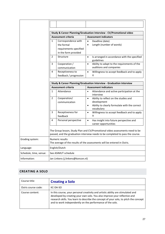| Study & Career Planning/Graduation Interview - CV/Promotional video |                                                                                                                                                                |                            |                                                                                                     |
|---------------------------------------------------------------------|----------------------------------------------------------------------------------------------------------------------------------------------------------------|----------------------------|-----------------------------------------------------------------------------------------------------|
|                                                                     |                                                                                                                                                                | <b>Assessment criteria</b> | <b>Assessment indicators</b>                                                                        |
|                                                                     | $\mathbf{1}$                                                                                                                                                   | Correspondence with        | Deadline (date)<br>$\bullet$                                                                        |
|                                                                     |                                                                                                                                                                | the formal                 | Length (number of words)<br>$\bullet$                                                               |
|                                                                     |                                                                                                                                                                | requirements specified     |                                                                                                     |
|                                                                     |                                                                                                                                                                | in the form provided       |                                                                                                     |
|                                                                     | 2                                                                                                                                                              | Structure                  | Is arranged in accordance with the specified<br>$\bullet$<br>guidelines                             |
|                                                                     | 3                                                                                                                                                              | Cooperation /              | Ability to adapt to the requirements of the<br>$\bullet$                                            |
|                                                                     |                                                                                                                                                                | communication              | auditions and companies                                                                             |
|                                                                     | 4                                                                                                                                                              | Receptiveness to           | $\bullet$<br>Willingness to accept feedback and to apply                                            |
|                                                                     |                                                                                                                                                                | feedback / progression     | it                                                                                                  |
|                                                                     |                                                                                                                                                                | <b>Assessment criteria</b> | Study & Career Planning/Graduation Interview - Graduation interview<br><b>Assessment indicators</b> |
|                                                                     | 1                                                                                                                                                              | Attendance                 | Attendance and active participation at the<br>$\bullet$<br>interview                                |
|                                                                     | 2                                                                                                                                                              | Cooperation/               | Ability to reflect on the studies and<br>$\bullet$                                                  |
|                                                                     |                                                                                                                                                                | communication              | development                                                                                         |
|                                                                     |                                                                                                                                                                |                            | Ability to clearly formulate with the correct<br>$\bullet$<br>vocabulary                            |
|                                                                     | 3                                                                                                                                                              | Receptiveness for          | Willingness to accept feedback and to apply<br>$\bullet$                                            |
|                                                                     |                                                                                                                                                                | feedback                   | it                                                                                                  |
|                                                                     | 4                                                                                                                                                              | Personal perspective       | $\bullet$<br>Has insight into future perspective and<br>career opportunities                        |
|                                                                     | The Group lesson, Study Plan and CV/Promotional video assessments need to be<br>passed, and the graduation interview needs to be completed to pass the course. |                            |                                                                                                     |
| Grading system:                                                     | Numeric results<br>The average of the results of the assessments will be entered in Osiris.                                                                    |                            |                                                                                                     |
| Language:                                                           | English/Dutch                                                                                                                                                  |                            |                                                                                                     |
| Schedule, time, venue:                                              | See ASIMUT schedule                                                                                                                                            |                            |                                                                                                     |
| Information:                                                        | Jan Linkens (j.linkens@koncon.nl)                                                                                                                              |                            |                                                                                                     |

## <span id="page-26-0"></span>**CREATING A SOLO**

| Course title:       | <b>Creating a Solo</b>                                                                                                                                                                                                                                                                                              |
|---------------------|---------------------------------------------------------------------------------------------------------------------------------------------------------------------------------------------------------------------------------------------------------------------------------------------------------------------|
| Osiris course code: | KC-DA-SO                                                                                                                                                                                                                                                                                                            |
| Course content:     | In this course, your personal creativity and artistic ability are stimulated and<br>developed by creating your own solo. You also improve your reflective and<br>research skills. You learn to describe the concept of your solo, to pitch the concept<br>and to work independently on the performance of the solo. |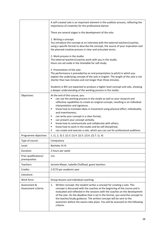|                                         | A self-created solo is an important element in the audition process, reflecting the<br>importance of creativity for the professional dancer.                                                                                                                                                                                                                                                                                                                                                                                                                                                                                                                   |  |
|-----------------------------------------|----------------------------------------------------------------------------------------------------------------------------------------------------------------------------------------------------------------------------------------------------------------------------------------------------------------------------------------------------------------------------------------------------------------------------------------------------------------------------------------------------------------------------------------------------------------------------------------------------------------------------------------------------------------|--|
|                                         | There are several stages in the development of the solo:                                                                                                                                                                                                                                                                                                                                                                                                                                                                                                                                                                                                       |  |
|                                         | 1. Writing a concept:<br>You introduce the concept at an interview with the external teachers/coaches,<br>using a specific format to describe the concept, the source of your inspiration and<br>the planned creative process in clear and articulate terms.                                                                                                                                                                                                                                                                                                                                                                                                   |  |
|                                         | 2. Work process in the studio:<br>The external teachers/coaches work with you in the studio.<br>Hours are set aside in the timetable for self-study.                                                                                                                                                                                                                                                                                                                                                                                                                                                                                                           |  |
|                                         | 3. Presentation of the solo:<br>The performance is preceded by an oral presentation (a pitch) in which you<br>explain the underlying concept of the solo in English. The length of the solo is not<br>shorter than two minutes and not longer than three minutes.                                                                                                                                                                                                                                                                                                                                                                                              |  |
|                                         | Students in BIV are expected to produce a higher level concept and solo, showing<br>a deeper understanding of the working process in the studio.                                                                                                                                                                                                                                                                                                                                                                                                                                                                                                               |  |
| Objectives:                             | At the end of this course, you:<br>can use the working process in the studio as well as your research and<br>٠<br>reflective capabilities to create an original concept, resulting in an individual<br>interpretation and signature;<br>know how to translate ideas in movement using physical effort, individuality<br>٠<br>and inventiveness;<br>can write your concept in a clear format;<br>٠<br>can present your concept verbally;<br>٠<br>know how to communicate and collaborate with others;<br>٠<br>know how to work in the studio and be self-disciplined;<br>٠<br>can create and execute a solo, which you can use for professional auditions.<br>٠ |  |
| Programme objectives:                   | 1. $(1, 2, 3)$ 2. $(1)$ 3. $(1)$ 4. $(2)$ 5. $(2)$ 6. $(2)$ 7. $(1, 4)$                                                                                                                                                                                                                                                                                                                                                                                                                                                                                                                                                                                        |  |
| Type of course:                         | Compulsory                                                                                                                                                                                                                                                                                                                                                                                                                                                                                                                                                                                                                                                     |  |
| Level:                                  | <b>Bachelor III-IV</b>                                                                                                                                                                                                                                                                                                                                                                                                                                                                                                                                                                                                                                         |  |
| Duration:                               | 2 hours per week                                                                                                                                                                                                                                                                                                                                                                                                                                                                                                                                                                                                                                               |  |
| Prior qualifications/<br>prerequisites: | n/a                                                                                                                                                                                                                                                                                                                                                                                                                                                                                                                                                                                                                                                            |  |
| Teachers:                               | Jerome Meyer, Isabelle Chaffaud, guest teachers                                                                                                                                                                                                                                                                                                                                                                                                                                                                                                                                                                                                                |  |
| Credits:                                | 2 ECTS per academic year                                                                                                                                                                                                                                                                                                                                                                                                                                                                                                                                                                                                                                       |  |
| Literature:                             |                                                                                                                                                                                                                                                                                                                                                                                                                                                                                                                                                                                                                                                                |  |
| Work form:                              | Group lessons and individual coaching                                                                                                                                                                                                                                                                                                                                                                                                                                                                                                                                                                                                                          |  |
| Assessment &<br>Assessment criteria:    | Written concept: the student writes a concept for creating a solo. This<br>1.<br>concept is discussed with the coaches at the beginning of the course and is<br>evaluated and reflected in the sessions with the coaches on the development<br>of the solo. On the deadline that is set in the format, you send the concept to<br>the teacher/study guidance. The written concept will be sent to the<br>examiners before the exams take place. You will be assessed on the following<br>criteria:                                                                                                                                                             |  |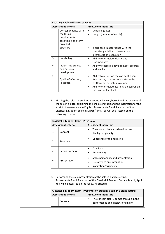| Creating a Solo - Written concept |                                                                                        |                              |                                                                                                                                                                                           |  |
|-----------------------------------|----------------------------------------------------------------------------------------|------------------------------|-------------------------------------------------------------------------------------------------------------------------------------------------------------------------------------------|--|
| <b>Assessment criteria</b>        |                                                                                        | <b>Assessment indicators</b> |                                                                                                                                                                                           |  |
| 1                                 | Correspondence with<br>the formal<br>requirements<br>specified in the form<br>provided | ٠<br>$\bullet$               | Deadline (date)<br>Length (number of words)                                                                                                                                               |  |
| 2                                 | Structure                                                                              | $\bullet$                    | Is arranged in accordance with the<br>specified guidelines: observation-<br>interpretation-evaluation                                                                                     |  |
| 3                                 | Vocabulary                                                                             | $\bullet$                    | Ability to formulate clearly and<br>transparently                                                                                                                                         |  |
| 4                                 | Insight into studies<br>and personal<br>development                                    | $\bullet$                    | Ability to describe development, progress<br>and results                                                                                                                                  |  |
| 5                                 | Quality/Reflection/<br>Feedback                                                        | $\bullet$                    | Ability to reflect on the constant given<br>feedback by coaches to transform the<br>written concept into movement<br>Ability to formulate learning objectives on<br>the basis of feedback |  |

2. Pitching the solo: the student introduces himself/herself and the concept of the solo in a pitch, explaining the choice of music and the inspiration for the work to the examiners in English. Assessments 2 and 3 are part of the Classical & Modern Exam in March/April. You will be assessed on the following criteria:

|                | Classical & Modern Exam - Pitch Solo |                                                                                                           |  |  |  |
|----------------|--------------------------------------|-----------------------------------------------------------------------------------------------------------|--|--|--|
|                | Assessment criteria                  | <b>Assessment indicators</b>                                                                              |  |  |  |
|                | Concept                              | The concept is clearly described and<br>displays originality                                              |  |  |  |
| $\mathfrak{p}$ | Structure                            | Coherence of the narrative                                                                                |  |  |  |
| 3              | Persuasiveness                       | Conviction<br>Authenticity<br>$\bullet$                                                                   |  |  |  |
| 4              | Presentation                         | Stage personality and presentation<br>$\bullet$<br>Use of voice and intonation<br>Inspiration/originality |  |  |  |

3. Performing the solo: presentation of the solo in a stage setting. Assessments 2 and 3 are part of the Classical & Modern Exam in March/April. You will be assessed on the following criteria:

| Classical & Modern Exam - Presentation creating a solo in a stage setting |         |                                                                                  |  |  |
|---------------------------------------------------------------------------|---------|----------------------------------------------------------------------------------|--|--|
| <b>Assessment criteria</b>                                                |         | <b>Assessment indicators</b>                                                     |  |  |
|                                                                           | Concept | The concept clearly comes through in the<br>performance and displays originality |  |  |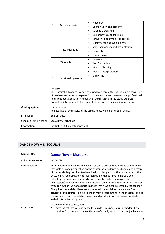|                        | $\overline{2}$                                                                             | <b>Technical control</b>          | Placement<br>٠<br>Coordination and stability<br>$\bullet$<br>Strength, breathing<br>$\bullet$<br>Use of physical capabilities<br>$\bullet$<br>Virtuosity and dynamic capability<br>Quality of the above elements                                                                                                                |
|------------------------|--------------------------------------------------------------------------------------------|-----------------------------------|---------------------------------------------------------------------------------------------------------------------------------------------------------------------------------------------------------------------------------------------------------------------------------------------------------------------------------|
|                        | 3                                                                                          | Artistic qualities                | Stage personality and presentation<br>$\bullet$<br>Creativity<br>Use of space<br>$\bullet$                                                                                                                                                                                                                                      |
|                        | 4                                                                                          | Musicality                        | Dynamic<br>$\bullet$<br>Feel for rhythm<br><b>Musical phrasing</b><br>Musical interpretation<br>$\bullet$                                                                                                                                                                                                                       |
|                        | 5                                                                                          | Individual signature              | Originality<br>$\bullet$                                                                                                                                                                                                                                                                                                        |
|                        | <b>Assessors:</b>                                                                          |                                   | The Classical & Modern Exam is assessed by a committee of examiners consisting<br>of teachers and external experts from the national and international professional<br>field. Feedback about this element can be discussed in the study progress<br>evaluation interview with the student at the end of the examination period. |
| Grading system:        | Numeric result<br>The average of the results of the assessments will be entered in Osiris. |                                   |                                                                                                                                                                                                                                                                                                                                 |
| Language:              | English/Dutch                                                                              |                                   |                                                                                                                                                                                                                                                                                                                                 |
| Schedule, time, venue: | See ASIMUT schedule                                                                        |                                   |                                                                                                                                                                                                                                                                                                                                 |
| Information:           |                                                                                            | Jan Linkens (j.linkens@koncon.nl) |                                                                                                                                                                                                                                                                                                                                 |

## <span id="page-29-0"></span>**DANCE NOW – DISCOURSE**

| Course title:       | <b>Dance Now - Discourse</b>                                                                                                                                                                                                                                                                                                                                                                                                                                                                                                                                                                                                                                                                                                                                                                                                                                               |
|---------------------|----------------------------------------------------------------------------------------------------------------------------------------------------------------------------------------------------------------------------------------------------------------------------------------------------------------------------------------------------------------------------------------------------------------------------------------------------------------------------------------------------------------------------------------------------------------------------------------------------------------------------------------------------------------------------------------------------------------------------------------------------------------------------------------------------------------------------------------------------------------------------|
| Osiris course code: | KC-DA-DH                                                                                                                                                                                                                                                                                                                                                                                                                                                                                                                                                                                                                                                                                                                                                                                                                                                                   |
| Course content:     | In this course you develop analytical, reflective and communicative competencies<br>that yield a broad perspective on the contemporary dance field and a good grasp<br>of the vocabulary required to share it with colleagues and the public. You do this<br>by watching recordings of choreographies and dance films in a group and<br>reflecting on them. You also study prescribed texts (books, magazines,<br>newspapers) and conduct your own research on internet and in libraries. You also<br>write reviews of live dance performances that have been selected by the teacher.<br>The guidelines and deadlines are announced and explained in advance. The<br>content of this course is linked to the current programming in the theatres, and to<br>the curriculum and the related projects and productions. The course concludes<br>with the Remakes assignment. |
| Objectives:         | At the end of this course, you:<br>have insight into various dance forms (classical/neo-classical/modern ballet;<br>modern/post-modern dance; flamenco/Kathak/urban dance, etc.), which you                                                                                                                                                                                                                                                                                                                                                                                                                                                                                                                                                                                                                                                                                |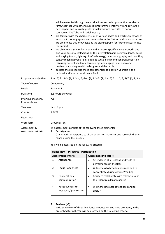|                                          | will have studied through live productions, recorded productions or dance<br>films, together with other sources (programmes, interviews and reviews in<br>newspapers and journals, professional literature, websites of dance<br>companies, YouTube and social media);<br>are familiar with the characteristics of various styles and working methods of<br>٠<br>important choreographers and companies in the Netherlands and abroad and<br>are able to use this knowledge as the starting point for further research into<br>the subject;<br>are able to analyse, reflect upon and interpret specific dance artworks and<br>٠<br>give your personal reflections on the interrelationship between dance, music<br>and staging (decor, lighting, film/technology) in a choreography and how they<br>convey meaning; you are also able to write a clear and coherent report on<br>this using correct academic terminology and engage in an open and<br>professional dialogue with colleagues and the public;<br>possess the skills to use these competencies to position yourself in the<br>٠<br>national and international dance field. |                                            |           |                                                                                                                                                 |  |
|------------------------------------------|-----------------------------------------------------------------------------------------------------------------------------------------------------------------------------------------------------------------------------------------------------------------------------------------------------------------------------------------------------------------------------------------------------------------------------------------------------------------------------------------------------------------------------------------------------------------------------------------------------------------------------------------------------------------------------------------------------------------------------------------------------------------------------------------------------------------------------------------------------------------------------------------------------------------------------------------------------------------------------------------------------------------------------------------------------------------------------------------------------------------------------------------|--------------------------------------------|-----------|-------------------------------------------------------------------------------------------------------------------------------------------------|--|
| Programme objectives:                    |                                                                                                                                                                                                                                                                                                                                                                                                                                                                                                                                                                                                                                                                                                                                                                                                                                                                                                                                                                                                                                                                                                                                         |                                            |           | 1. $(4, 5)$ 2. $(5)$ 3. $(1, 2, 3, 4, 5, 6)$ 4. $(1, 2, 3)$ 5. $(1, 2, 4, 5)$ 6. $(1, 2, 3, 4)$ 7. $(1, 2, 3, 4)$                               |  |
| Type of course:                          |                                                                                                                                                                                                                                                                                                                                                                                                                                                                                                                                                                                                                                                                                                                                                                                                                                                                                                                                                                                                                                                                                                                                         | Compulsory                                 |           |                                                                                                                                                 |  |
| Level:                                   |                                                                                                                                                                                                                                                                                                                                                                                                                                                                                                                                                                                                                                                                                                                                                                                                                                                                                                                                                                                                                                                                                                                                         | <b>Bachelor III</b>                        |           |                                                                                                                                                 |  |
| Duration:                                |                                                                                                                                                                                                                                                                                                                                                                                                                                                                                                                                                                                                                                                                                                                                                                                                                                                                                                                                                                                                                                                                                                                                         | 1.5 hours per week                         |           |                                                                                                                                                 |  |
| Prior qualifications/<br>Pre-requisites: | n/a                                                                                                                                                                                                                                                                                                                                                                                                                                                                                                                                                                                                                                                                                                                                                                                                                                                                                                                                                                                                                                                                                                                                     |                                            |           |                                                                                                                                                 |  |
| Teachers:                                |                                                                                                                                                                                                                                                                                                                                                                                                                                                                                                                                                                                                                                                                                                                                                                                                                                                                                                                                                                                                                                                                                                                                         | Jacq. Algra                                |           |                                                                                                                                                 |  |
| Credits:                                 | 3 ECTS                                                                                                                                                                                                                                                                                                                                                                                                                                                                                                                                                                                                                                                                                                                                                                                                                                                                                                                                                                                                                                                                                                                                  |                                            |           |                                                                                                                                                 |  |
| Literature:                              |                                                                                                                                                                                                                                                                                                                                                                                                                                                                                                                                                                                                                                                                                                                                                                                                                                                                                                                                                                                                                                                                                                                                         |                                            |           |                                                                                                                                                 |  |
| Work form:                               | Group lessons                                                                                                                                                                                                                                                                                                                                                                                                                                                                                                                                                                                                                                                                                                                                                                                                                                                                                                                                                                                                                                                                                                                           |                                            |           |                                                                                                                                                 |  |
| Assessment &<br>Assessment criteria:     | The assessment consists of the following three elements:<br>Participation<br>1.<br>Oral or written response to visual or written materials and research themes<br>raised during the lessons<br>You will be assessed on the following criteria:                                                                                                                                                                                                                                                                                                                                                                                                                                                                                                                                                                                                                                                                                                                                                                                                                                                                                          |                                            |           |                                                                                                                                                 |  |
|                                          |                                                                                                                                                                                                                                                                                                                                                                                                                                                                                                                                                                                                                                                                                                                                                                                                                                                                                                                                                                                                                                                                                                                                         | Dance Now - Discourse - Participation      |           |                                                                                                                                                 |  |
|                                          |                                                                                                                                                                                                                                                                                                                                                                                                                                                                                                                                                                                                                                                                                                                                                                                                                                                                                                                                                                                                                                                                                                                                         | <b>Assessment criteria</b>                 |           | <b>Assessment indicators</b>                                                                                                                    |  |
|                                          | 1                                                                                                                                                                                                                                                                                                                                                                                                                                                                                                                                                                                                                                                                                                                                                                                                                                                                                                                                                                                                                                                                                                                                       | Attendance                                 | $\bullet$ | Attendance at all lessons and visits to<br>performances in theatres                                                                             |  |
|                                          | $\overline{2}$                                                                                                                                                                                                                                                                                                                                                                                                                                                                                                                                                                                                                                                                                                                                                                                                                                                                                                                                                                                                                                                                                                                          | Focus / openness                           | $\bullet$ | Willingness to broaden horizons and to<br>concentrate during viewing/reading                                                                    |  |
|                                          | 3                                                                                                                                                                                                                                                                                                                                                                                                                                                                                                                                                                                                                                                                                                                                                                                                                                                                                                                                                                                                                                                                                                                                       | Cooperation /<br>communication             | $\bullet$ | Ability to collaborate with colleagues and<br>to present results of research                                                                    |  |
|                                          | 4                                                                                                                                                                                                                                                                                                                                                                                                                                                                                                                                                                                                                                                                                                                                                                                                                                                                                                                                                                                                                                                                                                                                       | Receptiveness to<br>feedback / progression | $\bullet$ | Willingness to accept feedback and to<br>apply it                                                                                               |  |
|                                          | 2.                                                                                                                                                                                                                                                                                                                                                                                                                                                                                                                                                                                                                                                                                                                                                                                                                                                                                                                                                                                                                                                                                                                                      | Reviews (x3)                               |           | Written reviews of three live dance productions you have attended, in the<br>prescribed format. You will be assessed on the following criteria: |  |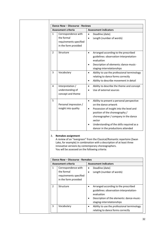| <b>Assessment criteria</b>                                                                          | <b>Assessment indicators</b>                                                                                                                                                                                                                                                                                   |  |  |
|-----------------------------------------------------------------------------------------------------|----------------------------------------------------------------------------------------------------------------------------------------------------------------------------------------------------------------------------------------------------------------------------------------------------------------|--|--|
| $\mathbf{1}$<br>Correspondence with<br>the formal<br>requirements specified<br>in the form provided | Deadline (date)<br>$\bullet$<br>Length (number of words)<br>$\bullet$                                                                                                                                                                                                                                          |  |  |
| $\overline{2}$<br>Structure                                                                         | Arranged according to the prescribed<br>$\bullet$<br>guidelines: observation-interpretation-<br>evaluation<br>Description of elements: dance-music-<br>$\bullet$<br>staging-interrelationships                                                                                                                 |  |  |
| 3<br>Vocabulary                                                                                     | Ability to use the professional terminology<br>$\bullet$<br>relating to dance forms correctly<br>Ability to describe movement in detail<br>$\bullet$                                                                                                                                                           |  |  |
| 4<br>Interpretation /<br>understanding of<br>concept and theme                                      | Ability to describe the theme and concept<br>$\bullet$<br>Use of external sources<br>$\bullet$                                                                                                                                                                                                                 |  |  |
| 5<br>Personal impression /<br>insight into quality                                                  | $\bullet$<br>Ability to present a personal perspective<br>on the dance artwork<br>Possession of insight into the level and<br>$\bullet$<br>position of the choreography /<br>choreographer / company in the dance<br>sector<br>Understanding of the skills required as a<br>dancer in the productions attended |  |  |

|        | Dance Now - Discourse - Remakes                                                     |           |                                                                                                                                                                          |  |  |
|--------|-------------------------------------------------------------------------------------|-----------|--------------------------------------------------------------------------------------------------------------------------------------------------------------------------|--|--|
|        | <b>Assessment criteria</b>                                                          |           | <b>Assessment indicators</b>                                                                                                                                             |  |  |
| 1      | Correspondence with<br>the formal<br>requirements specified<br>in the form provided | ٠         | Deadline (date)<br>Length (number of words)                                                                                                                              |  |  |
| 2<br>3 | Structure                                                                           |           | Arranged according to the prescribed<br>guidelines: observation-interpretation-<br>evaluation<br>Description of the elements: dance-music-<br>staging-interrelationships |  |  |
|        | Vocabulary                                                                          | $\bullet$ | Ability to use the professional terminology<br>relating to dance forms correctly                                                                                         |  |  |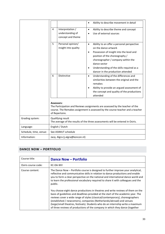|                        |                                                                                                     |                                                           | Ability to describe movement in detail<br>$\bullet$                                                                                                                                                                                                                                                                                                                                                                                                                                                                              |
|------------------------|-----------------------------------------------------------------------------------------------------|-----------------------------------------------------------|----------------------------------------------------------------------------------------------------------------------------------------------------------------------------------------------------------------------------------------------------------------------------------------------------------------------------------------------------------------------------------------------------------------------------------------------------------------------------------------------------------------------------------|
|                        | 4                                                                                                   | Interpretation /<br>understanding of<br>concept and theme | Ability to describe theme and concept<br>$\bullet$<br>Use of external sources                                                                                                                                                                                                                                                                                                                                                                                                                                                    |
|                        | 5<br>6                                                                                              | Personal opinion/<br>insight into quality<br>Distinctive  | Ability to an offer a personal perspective<br>$\bullet$<br>on the dance artwork<br>Possession of insight into the level and<br>٠<br>position of the choreography /<br>choreographer / company within the<br>dance sector<br>Understanding of the skills required as a<br>dancer in the production attended<br>Understanding of the differences and<br>$\bullet$<br>similarities between the original and the<br>remakes<br>Ability to provide an argued assessment of<br>$\bullet$<br>the concept and quality of the productions |
|                        |                                                                                                     |                                                           | attended                                                                                                                                                                                                                                                                                                                                                                                                                                                                                                                         |
|                        | Assessors:                                                                                          | of Repertoire.                                            | The Participation and Reviews assignments are assessed by the teacher of the<br>course. The Remakes assignment is assessed by the course teacher and a teacher                                                                                                                                                                                                                                                                                                                                                                   |
| Grading system:        | Qualifying result<br>The average of the results of the three assessments will be entered in Osiris. |                                                           |                                                                                                                                                                                                                                                                                                                                                                                                                                                                                                                                  |
| Language:              | English / Dutch                                                                                     |                                                           |                                                                                                                                                                                                                                                                                                                                                                                                                                                                                                                                  |
| Schedule, time, venue: |                                                                                                     | See ASIMUT schedule                                       |                                                                                                                                                                                                                                                                                                                                                                                                                                                                                                                                  |
| Information:           |                                                                                                     | Jacq. Algra (j.algra@koncon.nl)                           |                                                                                                                                                                                                                                                                                                                                                                                                                                                                                                                                  |

# <span id="page-32-0"></span>**DANCE NOW – PORTFOLIO**

| Course title:       | <b>Dance Now - Portfolio</b>                                                                                                                                                                                                                                                                                                                                                                                                                                                                      |
|---------------------|---------------------------------------------------------------------------------------------------------------------------------------------------------------------------------------------------------------------------------------------------------------------------------------------------------------------------------------------------------------------------------------------------------------------------------------------------------------------------------------------------|
| Osiris course code: | KC-DA-WV                                                                                                                                                                                                                                                                                                                                                                                                                                                                                          |
| Course content:     | The Dance Now – Portfolio course is designed to further improve your analytical,<br>reflective and communicative skills in relation to dance productions and enable<br>you to form a clear perspective on the national and international dance world and<br>to learn the professional vocabulary required to share it with colleagues and the<br>public.                                                                                                                                          |
|                     | You choose eight dance productions in theatres and write reviews of them on the<br>basis of guidelines and deadlines provided at the start of the academic year. The<br>reviews cover a wide range of styles (classical/contemporary), choreographers<br>(established / newcomers), companies (Netherlands/abroad) and venues<br>(large/small theatres, festivals). Students who do an internship write a maximum<br>of three reviews of productions of the company in which they dance (together |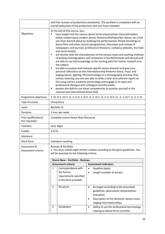|                                          | with five reviews of productions elsewhere). The portfolio is completed with an<br>overall evaluation of the productions that you have reviewed.                                                                                                                                                                                                                                                                                                                                                                                                                                                                                                                                                                                                                                                                                                                                                                                                                                                                                                                                                                                                                                                                                                                                                     |                                                                                                                   |                                                                                                                                                                                                    |  |  |
|------------------------------------------|------------------------------------------------------------------------------------------------------------------------------------------------------------------------------------------------------------------------------------------------------------------------------------------------------------------------------------------------------------------------------------------------------------------------------------------------------------------------------------------------------------------------------------------------------------------------------------------------------------------------------------------------------------------------------------------------------------------------------------------------------------------------------------------------------------------------------------------------------------------------------------------------------------------------------------------------------------------------------------------------------------------------------------------------------------------------------------------------------------------------------------------------------------------------------------------------------------------------------------------------------------------------------------------------------|-------------------------------------------------------------------------------------------------------------------|----------------------------------------------------------------------------------------------------------------------------------------------------------------------------------------------------|--|--|
| Objectives:                              | At the end of this course, you:<br>have insight into the various dance forms (classical/neo-classical/modern<br>ballet; modern/post-modern dance; flamenco/Kathak/urban dance, etc.) that<br>you have learned about by studying live performances, filmed recordings or<br>dance films and other sources (programmes, interviews and reviews in<br>newspapers and journals, professional literature, company websites, YouTube<br>and social media);<br>are familiar with the characteristics of the various styles and working methods<br>of leading choreographers and companies in the Netherlands and abroad and<br>are able to use that knowledge as the starting point for further research into<br>the subject;<br>are able to analyse and interpret specific dance artworks and give your<br>٠<br>personal reflections on the interrelationship between dance, music and<br>staging (decor, lighting, film/technology) in a choreography and how they<br>convey meaning; you are also able to write a clear and coherent report on<br>this using correct academic terminology and engage in an open and<br>professional dialogue with colleagues and the public;<br>possess the skills to use these competencies to position yourself in the<br>٠<br>national and international dance field. |                                                                                                                   |                                                                                                                                                                                                    |  |  |
| Programme objectives:                    |                                                                                                                                                                                                                                                                                                                                                                                                                                                                                                                                                                                                                                                                                                                                                                                                                                                                                                                                                                                                                                                                                                                                                                                                                                                                                                      |                                                                                                                   | 1. (4, 5) 2. (5) 3. (1, 2, 3, 4, 5, 6) 4. (1, 2, 3) 5. (1, 2, 4, 5) 6. (1, .2, 3, 4) 7. (1, 2, 3, 4)                                                                                               |  |  |
| Type of course:                          |                                                                                                                                                                                                                                                                                                                                                                                                                                                                                                                                                                                                                                                                                                                                                                                                                                                                                                                                                                                                                                                                                                                                                                                                                                                                                                      | Compulsory                                                                                                        |                                                                                                                                                                                                    |  |  |
| Level:                                   |                                                                                                                                                                                                                                                                                                                                                                                                                                                                                                                                                                                                                                                                                                                                                                                                                                                                                                                                                                                                                                                                                                                                                                                                                                                                                                      | <b>Bachelor IV</b>                                                                                                |                                                                                                                                                                                                    |  |  |
| Duration:                                |                                                                                                                                                                                                                                                                                                                                                                                                                                                                                                                                                                                                                                                                                                                                                                                                                                                                                                                                                                                                                                                                                                                                                                                                                                                                                                      | 1 hour per week                                                                                                   |                                                                                                                                                                                                    |  |  |
| Prior qualifications/<br>Pre-requisites: |                                                                                                                                                                                                                                                                                                                                                                                                                                                                                                                                                                                                                                                                                                                                                                                                                                                                                                                                                                                                                                                                                                                                                                                                                                                                                                      | Complete course Dance Now-Discourse                                                                               |                                                                                                                                                                                                    |  |  |
| Teachers:                                | Jacq. Algra                                                                                                                                                                                                                                                                                                                                                                                                                                                                                                                                                                                                                                                                                                                                                                                                                                                                                                                                                                                                                                                                                                                                                                                                                                                                                          |                                                                                                                   |                                                                                                                                                                                                    |  |  |
| Credits:                                 | 2 ECTS                                                                                                                                                                                                                                                                                                                                                                                                                                                                                                                                                                                                                                                                                                                                                                                                                                                                                                                                                                                                                                                                                                                                                                                                                                                                                               |                                                                                                                   |                                                                                                                                                                                                    |  |  |
| Literature:                              |                                                                                                                                                                                                                                                                                                                                                                                                                                                                                                                                                                                                                                                                                                                                                                                                                                                                                                                                                                                                                                                                                                                                                                                                                                                                                                      |                                                                                                                   |                                                                                                                                                                                                    |  |  |
| Work form:                               | Individual coaching                                                                                                                                                                                                                                                                                                                                                                                                                                                                                                                                                                                                                                                                                                                                                                                                                                                                                                                                                                                                                                                                                                                                                                                                                                                                                  |                                                                                                                   |                                                                                                                                                                                                    |  |  |
| Assessment &<br>Assessment criteria:     | Reviews & Portfolio:<br>1. You must submit eight written reviews according to the given guidelines. You<br>will be assessed on the following criteria:                                                                                                                                                                                                                                                                                                                                                                                                                                                                                                                                                                                                                                                                                                                                                                                                                                                                                                                                                                                                                                                                                                                                               |                                                                                                                   |                                                                                                                                                                                                    |  |  |
|                                          |                                                                                                                                                                                                                                                                                                                                                                                                                                                                                                                                                                                                                                                                                                                                                                                                                                                                                                                                                                                                                                                                                                                                                                                                                                                                                                      | Dance Now - Portfolio - Reviews                                                                                   |                                                                                                                                                                                                    |  |  |
|                                          | 1                                                                                                                                                                                                                                                                                                                                                                                                                                                                                                                                                                                                                                                                                                                                                                                                                                                                                                                                                                                                                                                                                                                                                                                                                                                                                                    | <b>Assessment criteria</b><br>Correspondence with<br>the formal<br>requirements specified<br>in the form provided | <b>Assessment indicators</b><br>Deadline (date)<br>$\bullet$<br>Length (number of words)                                                                                                           |  |  |
|                                          | 2                                                                                                                                                                                                                                                                                                                                                                                                                                                                                                                                                                                                                                                                                                                                                                                                                                                                                                                                                                                                                                                                                                                                                                                                                                                                                                    | Structure                                                                                                         | Arranged according to the prescribed<br>$\bullet$<br>guidelines: observation-interpretation-<br>evaluation<br>Description of the elements: dance-music-<br>$\bullet$<br>staging-interrelationships |  |  |
|                                          | 3                                                                                                                                                                                                                                                                                                                                                                                                                                                                                                                                                                                                                                                                                                                                                                                                                                                                                                                                                                                                                                                                                                                                                                                                                                                                                                    | Vocabulary                                                                                                        | Ability to use the professional terminology<br>$\bullet$<br>relating to dance forms correctly                                                                                                      |  |  |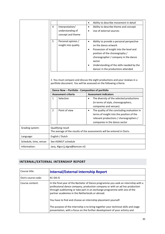|                        |                |                                                  | $\bullet$ | Ability to describe movement in detail                                                                                                             |
|------------------------|----------------|--------------------------------------------------|-----------|----------------------------------------------------------------------------------------------------------------------------------------------------|
|                        | 4              | Interpretation/                                  | $\bullet$ | Ability to describe theme and concept                                                                                                              |
|                        |                | understanding of                                 | $\bullet$ | Use of external sources                                                                                                                            |
|                        |                | concept and theme                                |           |                                                                                                                                                    |
|                        |                |                                                  |           |                                                                                                                                                    |
|                        | 5              | Personal opinion /                               | $\bullet$ | Ability to provide a personal perspective                                                                                                          |
|                        |                | insight into quality                             |           | on the dance artwork                                                                                                                               |
|                        |                |                                                  | $\bullet$ | Possession of insight into the level and                                                                                                           |
|                        |                |                                                  |           | position of the choreography /                                                                                                                     |
|                        |                |                                                  |           | choreographer / company in the dance                                                                                                               |
|                        |                |                                                  |           | sector                                                                                                                                             |
|                        |                |                                                  |           | Understanding of the skills needed by the                                                                                                          |
|                        |                |                                                  |           | dancer in the productions attended                                                                                                                 |
|                        |                |                                                  |           | 2. You must compare and discuss the eight productions and your reviews in a<br>portfolio document. You will be assessed on the following criteria: |
|                        |                | Dance Now - Portfolio - Composition of portfolio |           |                                                                                                                                                    |
|                        |                | <b>Assessment criteria</b>                       |           | <b>Assessment indicators</b>                                                                                                                       |
|                        | $\mathbf{1}$   | Selection                                        | $\bullet$ | The diversity of the selected productions                                                                                                          |
|                        |                |                                                  |           | (in terms of style, choreographers,                                                                                                                |
|                        |                |                                                  |           | companies and venues)                                                                                                                              |
|                        | $\overline{2}$ | Point of view                                    | $\bullet$ | The quality of the concluding evaluation in                                                                                                        |
|                        |                |                                                  |           | terms of insight into the position of the                                                                                                          |
|                        |                |                                                  |           | relevant productions / choreographers /                                                                                                            |
|                        |                |                                                  |           | companies in the dance sector                                                                                                                      |
| Grading system:        |                | Qualifying result                                |           |                                                                                                                                                    |
|                        |                |                                                  |           | The average of the results of the assessments will be entered in Osiris.                                                                           |
| Language:              |                | English / Dutch                                  |           |                                                                                                                                                    |
| Schedule, time, venue: |                | See ASIMUT schedule                              |           |                                                                                                                                                    |

# <span id="page-34-0"></span>**INTERNAL/EXTERNAL INTERNSHIP REPORT**

| Course title:       | <b>Internal/External Internship Report</b>                                                                                                                                                                                                                                                        |
|---------------------|---------------------------------------------------------------------------------------------------------------------------------------------------------------------------------------------------------------------------------------------------------------------------------------------------|
| Osiris course code: | KC-DA-IS                                                                                                                                                                                                                                                                                          |
| Course content:     | In the final year of the Bachelor of Dance programme you seek an internship with a<br>professional dance company, production company or with an ad hoc production<br>through auditioning or take part in an exchange programme with one of the<br>partner academies in the Netherlands or abroad. |
|                     | You have to find and choose an internship placement yourself.                                                                                                                                                                                                                                     |
|                     | The purpose of the internship is to bring together your technical skills and stage<br>presentation, with a focus on the further development of your artistry and                                                                                                                                  |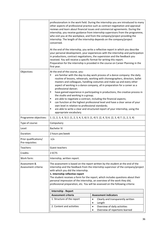|                                          | professionalism in the work field. During the internship you are introduced to many<br>other aspects of professional practice such as contract negotiation and appraisal<br>reviews and learn about financial issues and commercial agreements. During the<br>internship, you receive guidance from internship supervisors from the programme,<br>who visit you at the workplace, and from the company/project providing the<br>internship. The length of the internship depends on the company/project<br>concerned.<br>At the end of the internship, you write a reflective report in which you describe<br>your personal development, your experiences with the internship and participation<br>in productions, contract negotiations, the supervision and the feedback you<br>received. You will receive a specific format for writing this report.<br>Preparation for the internship is provided in the course on Career Planning in the<br>first year. |                                                                             |  |  |  |  |
|------------------------------------------|--------------------------------------------------------------------------------------------------------------------------------------------------------------------------------------------------------------------------------------------------------------------------------------------------------------------------------------------------------------------------------------------------------------------------------------------------------------------------------------------------------------------------------------------------------------------------------------------------------------------------------------------------------------------------------------------------------------------------------------------------------------------------------------------------------------------------------------------------------------------------------------------------------------------------------------------------------------|-----------------------------------------------------------------------------|--|--|--|--|
| Objectives:                              | At the end of the course, you:<br>are familiar with the day-to-day work process of a dance company: the daily<br>routine of lessons, rehearsals, working with choreographers, directors, ballet<br>masters and colleagues, handling costumes and make-up and every other<br>aspect of working in a dance company, all in preparation for a career as a<br>professional dancer;<br>have gained experience in participating in productions, the creative process in<br>П<br>the studio and working in a group;<br>are able to negotiate a contract, including the financial aspects;<br>٠<br>can function at the highest professional level and have a clear sense of your<br>٠<br>own level in relation to professional standards;<br>are able to write a clear and structured report of your internship, using the<br>٠<br>appropriate vocabulary.                                                                                                           |                                                                             |  |  |  |  |
| Programme objectives:                    | 1. (1, 2, 3, 4, 5) 2. (1, 2, 3, 4, 5, 6) 3. (1, 4) 5. (2, 4, 5) 6. (2, 3, 4) 7. (1, 2, 3, 4)                                                                                                                                                                                                                                                                                                                                                                                                                                                                                                                                                                                                                                                                                                                                                                                                                                                                 |                                                                             |  |  |  |  |
| Type of course:                          | Compulsory                                                                                                                                                                                                                                                                                                                                                                                                                                                                                                                                                                                                                                                                                                                                                                                                                                                                                                                                                   |                                                                             |  |  |  |  |
| Level:                                   | <b>Bachelor IV</b>                                                                                                                                                                                                                                                                                                                                                                                                                                                                                                                                                                                                                                                                                                                                                                                                                                                                                                                                           |                                                                             |  |  |  |  |
| Duration:                                | 2 hours per/week                                                                                                                                                                                                                                                                                                                                                                                                                                                                                                                                                                                                                                                                                                                                                                                                                                                                                                                                             |                                                                             |  |  |  |  |
| Prior qualifications/<br>Pre-requisites: | n/a                                                                                                                                                                                                                                                                                                                                                                                                                                                                                                                                                                                                                                                                                                                                                                                                                                                                                                                                                          |                                                                             |  |  |  |  |
| Teachers:                                | Guest teachers                                                                                                                                                                                                                                                                                                                                                                                                                                                                                                                                                                                                                                                                                                                                                                                                                                                                                                                                               |                                                                             |  |  |  |  |
| Credits:                                 | 2 ECTS                                                                                                                                                                                                                                                                                                                                                                                                                                                                                                                                                                                                                                                                                                                                                                                                                                                                                                                                                       |                                                                             |  |  |  |  |
| Work form:                               | Internship, written report.                                                                                                                                                                                                                                                                                                                                                                                                                                                                                                                                                                                                                                                                                                                                                                                                                                                                                                                                  |                                                                             |  |  |  |  |
| Assessment &<br>Assessment criteria:     | The assessment is based on the report written by the student at the end of the<br>internship and the feedback from the internship supervisor of the company/project<br>with which you did the internship.<br>1. Internship reflective report<br>The student receives a form for the report, which includes questions about their<br>personal impression of the internship, an overview of the work they did,<br>professional preparation, etc. You will be assessed on the following criteria:                                                                                                                                                                                                                                                                                                                                                                                                                                                               |                                                                             |  |  |  |  |
|                                          | Internship - Report                                                                                                                                                                                                                                                                                                                                                                                                                                                                                                                                                                                                                                                                                                                                                                                                                                                                                                                                          |                                                                             |  |  |  |  |
|                                          | Assessment criteria                                                                                                                                                                                                                                                                                                                                                                                                                                                                                                                                                                                                                                                                                                                                                                                                                                                                                                                                          | <b>Assessment indicators</b>                                                |  |  |  |  |
|                                          | 1. Structure of the report                                                                                                                                                                                                                                                                                                                                                                                                                                                                                                                                                                                                                                                                                                                                                                                                                                                                                                                                   | Clearly and transparently written<br>$\bullet$<br>Length<br>$\bullet$       |  |  |  |  |
|                                          | 2. Content and activities                                                                                                                                                                                                                                                                                                                                                                                                                                                                                                                                                                                                                                                                                                                                                                                                                                                                                                                                    | Overview of daily activities<br>$\bullet$<br>Overview of repertoire learned |  |  |  |  |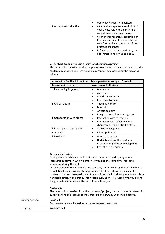|                            |        | Overview of repertoire danced                                                                                                                                                                                                                                                                                                            |
|----------------------------|--------|------------------------------------------------------------------------------------------------------------------------------------------------------------------------------------------------------------------------------------------------------------------------------------------------------------------------------------------|
| 3. Analysis and reflection | ٠<br>٠ | Clear and transparent description of<br>your objectives, with an analysis of<br>your strengths and weaknesses.<br>Clear and transparent description of<br>the significance of the internship for<br>your further development as a future<br>professional dancer<br>Reflection on the supervision by the<br>department and by the company |

#### **2. Feedback from internship supervisor of company/project:**

The internship supervisor of the company/project informs the department and the student about how the intern functioned. You will be assessed on the following criteria:

| <b>Assessment indicators</b><br><b>Assessment criteria</b><br>1. Functioning in general<br>Motivation<br>$\bullet$<br>Awareness<br>Creativity, curiosity<br>Effort/involvement<br>٠<br>2. Craftsmanship<br><b>Technical control</b><br>$\bullet$<br>Musicality<br>Artistic qualities<br>Bringing those elements together<br>$\bullet$<br>3. Collaboration with others<br>Interaction with colleagues<br>$\bullet$<br>Interaction with ballet masters,<br>$\bullet$<br>choreographers, artistic directors |  |
|----------------------------------------------------------------------------------------------------------------------------------------------------------------------------------------------------------------------------------------------------------------------------------------------------------------------------------------------------------------------------------------------------------------------------------------------------------------------------------------------------------|--|
|                                                                                                                                                                                                                                                                                                                                                                                                                                                                                                          |  |
|                                                                                                                                                                                                                                                                                                                                                                                                                                                                                                          |  |
|                                                                                                                                                                                                                                                                                                                                                                                                                                                                                                          |  |
|                                                                                                                                                                                                                                                                                                                                                                                                                                                                                                          |  |
|                                                                                                                                                                                                                                                                                                                                                                                                                                                                                                          |  |
|                                                                                                                                                                                                                                                                                                                                                                                                                                                                                                          |  |
|                                                                                                                                                                                                                                                                                                                                                                                                                                                                                                          |  |
|                                                                                                                                                                                                                                                                                                                                                                                                                                                                                                          |  |
|                                                                                                                                                                                                                                                                                                                                                                                                                                                                                                          |  |
|                                                                                                                                                                                                                                                                                                                                                                                                                                                                                                          |  |
|                                                                                                                                                                                                                                                                                                                                                                                                                                                                                                          |  |
|                                                                                                                                                                                                                                                                                                                                                                                                                                                                                                          |  |
| 4. Development during the<br>Artistic development<br>$\bullet$                                                                                                                                                                                                                                                                                                                                                                                                                                           |  |
| Career potential<br>internship<br>٠                                                                                                                                                                                                                                                                                                                                                                                                                                                                      |  |
| 5. Feedback<br>Open to feedback<br>$\bullet$                                                                                                                                                                                                                                                                                                                                                                                                                                                             |  |
| Understanding of the feedback:                                                                                                                                                                                                                                                                                                                                                                                                                                                                           |  |
| qualities and points of development                                                                                                                                                                                                                                                                                                                                                                                                                                                                      |  |
| Reflection on feedback                                                                                                                                                                                                                                                                                                                                                                                                                                                                                   |  |

Both assessments will need to be passed to pass the course.

Grading system: Pass/Fail

Language: **English/Dutch**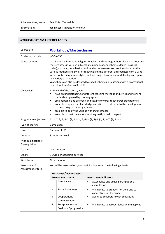| Schedule, time, venue: See ASIMUT schedule |                                 |
|--------------------------------------------|---------------------------------|
| Information:                               | Jan Linkens: linkensj@koncon.nl |

# <span id="page-37-0"></span>**WORKSHOPS/MASTERCLASSES**

| Course title:                            | <b>Workshops/Masterclasses</b>                                                                                                                                                                                                                                                                                                                                                                                                                                                                                |                                                                                                                                                                                                                                                                                                                                                                                                                                                                                                                                                                                                   |           |                                                                           |  |  |
|------------------------------------------|---------------------------------------------------------------------------------------------------------------------------------------------------------------------------------------------------------------------------------------------------------------------------------------------------------------------------------------------------------------------------------------------------------------------------------------------------------------------------------------------------------------|---------------------------------------------------------------------------------------------------------------------------------------------------------------------------------------------------------------------------------------------------------------------------------------------------------------------------------------------------------------------------------------------------------------------------------------------------------------------------------------------------------------------------------------------------------------------------------------------------|-----------|---------------------------------------------------------------------------|--|--|
| Osiris course code:                      |                                                                                                                                                                                                                                                                                                                                                                                                                                                                                                               | KC-DA-MC                                                                                                                                                                                                                                                                                                                                                                                                                                                                                                                                                                                          |           |                                                                           |  |  |
| Course content:                          |                                                                                                                                                                                                                                                                                                                                                                                                                                                                                                               | In this course, international guest teachers and choreographers give workshops and<br>masterclasses in various subjects, including academic theatre dance (classical<br>ballet), classical, neo-classical and modern repertoire. You are introduced to the<br>various methods and styles of teaching and the different approaches; learn a wide<br>variety of techniques and styles; and are taught how to respond flexibly and openly<br>in a variety of situations.<br>Workshops can also be devoted to specific themes, discussions with a professional<br>or exploration of a specific skill. |           |                                                                           |  |  |
| Objectives:                              | At the end of the course, you:<br>have an understanding of different teaching methods and styles and working<br>П<br>methods employed by choreographers;<br>are adaptable and are open and flexible towards teachers/choreographers;<br>٠<br>are able to apply your knowledge and skills to contribute to the development<br>Ξ<br>of the artistry in the assignments;<br>are able to apply the various working methods;<br>٠<br>are able to treat the various working methods with respect.<br>$\blacksquare$ |                                                                                                                                                                                                                                                                                                                                                                                                                                                                                                                                                                                                   |           |                                                                           |  |  |
| Programme objectives:                    |                                                                                                                                                                                                                                                                                                                                                                                                                                                                                                               | 1. $(1, 2, 3, 4, 5)$ 2. $(1, 2, 3, 4, 5, 6)$ 3. $(1, 4)$ 4. $(1, 2, 3)$ 7. $(1, 2, 3, 4)$                                                                                                                                                                                                                                                                                                                                                                                                                                                                                                         |           |                                                                           |  |  |
| Type of course:                          |                                                                                                                                                                                                                                                                                                                                                                                                                                                                                                               | Compulsory                                                                                                                                                                                                                                                                                                                                                                                                                                                                                                                                                                                        |           |                                                                           |  |  |
| Level:                                   | <b>Bachelor III-IV</b>                                                                                                                                                                                                                                                                                                                                                                                                                                                                                        |                                                                                                                                                                                                                                                                                                                                                                                                                                                                                                                                                                                                   |           |                                                                           |  |  |
| Duration:                                | 3 hours per week                                                                                                                                                                                                                                                                                                                                                                                                                                                                                              |                                                                                                                                                                                                                                                                                                                                                                                                                                                                                                                                                                                                   |           |                                                                           |  |  |
| Prior qualifications/<br>Pre-requisites: |                                                                                                                                                                                                                                                                                                                                                                                                                                                                                                               |                                                                                                                                                                                                                                                                                                                                                                                                                                                                                                                                                                                                   |           |                                                                           |  |  |
| Teachers:                                |                                                                                                                                                                                                                                                                                                                                                                                                                                                                                                               | Guest teachers                                                                                                                                                                                                                                                                                                                                                                                                                                                                                                                                                                                    |           |                                                                           |  |  |
| Credits:                                 |                                                                                                                                                                                                                                                                                                                                                                                                                                                                                                               | 3 ECTS per academic per year                                                                                                                                                                                                                                                                                                                                                                                                                                                                                                                                                                      |           |                                                                           |  |  |
| Work form:                               |                                                                                                                                                                                                                                                                                                                                                                                                                                                                                                               | Group lesson                                                                                                                                                                                                                                                                                                                                                                                                                                                                                                                                                                                      |           |                                                                           |  |  |
| Assessment &<br>Assessment criteria:     |                                                                                                                                                                                                                                                                                                                                                                                                                                                                                                               |                                                                                                                                                                                                                                                                                                                                                                                                                                                                                                                                                                                                   |           | You will be assessed on your participation, using the following criteria: |  |  |
|                                          |                                                                                                                                                                                                                                                                                                                                                                                                                                                                                                               | Workshops/masterclasses                                                                                                                                                                                                                                                                                                                                                                                                                                                                                                                                                                           |           |                                                                           |  |  |
|                                          |                                                                                                                                                                                                                                                                                                                                                                                                                                                                                                               | <b>Assessment criteria</b>                                                                                                                                                                                                                                                                                                                                                                                                                                                                                                                                                                        |           | <b>Assessment indicators</b>                                              |  |  |
|                                          | 1                                                                                                                                                                                                                                                                                                                                                                                                                                                                                                             | Attendance                                                                                                                                                                                                                                                                                                                                                                                                                                                                                                                                                                                        | $\bullet$ | Attendance and active participation at<br>every lesson                    |  |  |
|                                          | $\overline{2}$                                                                                                                                                                                                                                                                                                                                                                                                                                                                                                | Focus / openness                                                                                                                                                                                                                                                                                                                                                                                                                                                                                                                                                                                  | $\bullet$ | Willingness to broaden horizons and to<br>concentrate on the work         |  |  |
|                                          | 3                                                                                                                                                                                                                                                                                                                                                                                                                                                                                                             | Cooperation /<br>communication                                                                                                                                                                                                                                                                                                                                                                                                                                                                                                                                                                    | $\bullet$ | Ability to collaborate with colleagues                                    |  |  |
|                                          | 4                                                                                                                                                                                                                                                                                                                                                                                                                                                                                                             | Receptiveness to<br>feedback / progression                                                                                                                                                                                                                                                                                                                                                                                                                                                                                                                                                        | $\bullet$ | Willingness to accept feedback and apply it                               |  |  |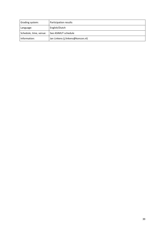| Grading system:        | Participation results             |
|------------------------|-----------------------------------|
| Language:              | English/Dutch                     |
| Schedule, time, venue: | See ASIMUT schedule               |
| Information:           | Jan Linkens (j.linkens@koncon.nl) |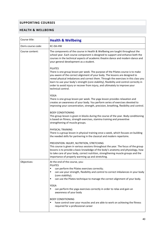## <span id="page-39-0"></span>**SUPPORTING COURSES**

### <span id="page-39-1"></span>**HEALTH & WELLBEING**

| Course title:       | <b>Health &amp; Wellbeing</b>                                                                                                                                                                                                                                                                                                                                                                                                                                                |  |  |  |  |
|---------------------|------------------------------------------------------------------------------------------------------------------------------------------------------------------------------------------------------------------------------------------------------------------------------------------------------------------------------------------------------------------------------------------------------------------------------------------------------------------------------|--|--|--|--|
| Osiris course code: | KC-DA-HW                                                                                                                                                                                                                                                                                                                                                                                                                                                                     |  |  |  |  |
| Course content:     | The components of the course in Health & Wellbeing are taught throughout the<br>school year. Each course component is designed to support and enhance both the<br>courses in the technical aspects of academic theatre dance and modern dance and<br>your general development as a student.                                                                                                                                                                                  |  |  |  |  |
|                     | <b>PILATES</b><br>There is one group lesson per week. The purpose of the Pilates course is to make<br>you aware of the correct alignment of your body. The lessons are designed to<br>reveal physical imbalances and correct them. Through the exercises in this class you<br>learn to use your body's strength (core stability), flexibility and control correctly in<br>order to avoid injury or recover from injury, and ultimately to improve your<br>technical control. |  |  |  |  |
|                     | <b>YOGA</b><br>There is one group lesson per week. The yoga lesson provides relaxation and<br>creates an awareness of your body. You perform series of exercises devoted to<br>improving your concentration, strength, precision, breathing, flexibility and control.                                                                                                                                                                                                        |  |  |  |  |
|                     | <b>BODY CONDITIONING</b><br>This group lesson is given in blocks during the course of the year. Body conditioning<br>is based on fitness, strength exercises, stamina training and preventive<br>strengthening of muscle groups.                                                                                                                                                                                                                                             |  |  |  |  |
|                     | PHYSICAL TRAINING<br>There is a group lesson in physical training once a week, which focuses on building<br>the needed skills for partnering in the classical and modern repertoire.                                                                                                                                                                                                                                                                                         |  |  |  |  |
|                     | PREVENTION: INJURY, NUTRITION, STRETCHING<br>This course is given in various sessions throughout the year. The focus of the group<br>lessons is to provide a basic knowledge of the body's anatomy and physiology, how<br>to take care of your body, correct nutrition, strengthening muscle groups and the<br>importance of properly warming up and stretching.                                                                                                             |  |  |  |  |
| Objectives:         | At the end of the course, you:<br><b>PILATES</b><br>can perform the Pilates exercises correctly;<br>п<br>can use your strength, flexibility and control to correct imbalances in your body<br>п<br>(core stability);<br>can use the Pilates technique to manage the correct alignment of your body.<br>٠                                                                                                                                                                     |  |  |  |  |
|                     | <b>YOGA</b><br>can perform the yoga exercises correctly in order to relax and gain an<br>٠<br>awareness of your body                                                                                                                                                                                                                                                                                                                                                         |  |  |  |  |
|                     | <b>BODY CONDITIONING</b><br>have control over your muscles and are able to work on achieving the fitness<br>٠<br>required for a professional career                                                                                                                                                                                                                                                                                                                          |  |  |  |  |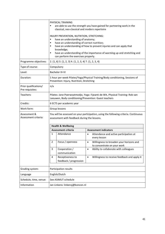|                                          | ٠<br>٠<br>٠<br>٠ | PHYSICAL TRAINING<br>are able to use the strength you have gained for partnering work in the<br>classical, neo-classical and modern repertoire<br>INJURY PREVENTION, NUTRITION, STRETCHING:<br>have an understanding of anatomy;<br>have an understanding of correct nutrition;<br>have an understanding of how to prevent injuries and can apply that<br>knowledge;<br>have an understanding of the importance of warming up and stretching and<br>can perform the exercises properly. |           |                                                                               |  |  |
|------------------------------------------|------------------|-----------------------------------------------------------------------------------------------------------------------------------------------------------------------------------------------------------------------------------------------------------------------------------------------------------------------------------------------------------------------------------------------------------------------------------------------------------------------------------------|-----------|-------------------------------------------------------------------------------|--|--|
| Programme objectives:                    |                  | $2. (1, 6)$ 3. $(1, 2, 3)$ 4. $(1, 2, 3, 4)$ 7. $(1, 2, 3, 4)$                                                                                                                                                                                                                                                                                                                                                                                                                          |           |                                                                               |  |  |
| Type of course:                          |                  | Compulsory                                                                                                                                                                                                                                                                                                                                                                                                                                                                              |           |                                                                               |  |  |
| Level:                                   |                  | <b>Bachelor III-IV</b>                                                                                                                                                                                                                                                                                                                                                                                                                                                                  |           |                                                                               |  |  |
| Duration:                                |                  | Prevention: Injury, Nutrition, Stretching                                                                                                                                                                                                                                                                                                                                                                                                                                               |           | 1 hour per week Pilates/Yoga/Physical Training/Body conditioning, Sessions of |  |  |
| Prior qualifications/<br>Pre-requisites: | n/a              |                                                                                                                                                                                                                                                                                                                                                                                                                                                                                         |           |                                                                               |  |  |
| Teachers:                                |                  | Pilates: Jane Poerwoatmodjo, Yoga: Fijeanti de Wit, Physical Training: Rob van<br>Leeuwen, Body conditioning/Prevention: Guest teachers                                                                                                                                                                                                                                                                                                                                                 |           |                                                                               |  |  |
| Credits:                                 |                  | 6 ECTS per academic year                                                                                                                                                                                                                                                                                                                                                                                                                                                                |           |                                                                               |  |  |
| Work form:                               |                  | Group lessons                                                                                                                                                                                                                                                                                                                                                                                                                                                                           |           |                                                                               |  |  |
| Assessment &<br>Assessment criteria:     |                  | You will be assessed on your participation, using the following criteria. Continuous<br>assessment with feedback during the lessons.                                                                                                                                                                                                                                                                                                                                                    |           |                                                                               |  |  |
|                                          |                  | <b>Health &amp; Wellbeing</b>                                                                                                                                                                                                                                                                                                                                                                                                                                                           |           |                                                                               |  |  |
|                                          |                  | <b>Assessment criteria</b>                                                                                                                                                                                                                                                                                                                                                                                                                                                              |           | <b>Assessment indicators</b>                                                  |  |  |
|                                          | 1                | Attendance                                                                                                                                                                                                                                                                                                                                                                                                                                                                              | $\bullet$ | Attendance and active participation at<br>every lesson                        |  |  |
|                                          | 2                | Focus / openness                                                                                                                                                                                                                                                                                                                                                                                                                                                                        | $\bullet$ | Willingness to broaden your horizons and<br>to concentrate on your work       |  |  |
|                                          | 3                | Cooperation /<br>communication                                                                                                                                                                                                                                                                                                                                                                                                                                                          | $\bullet$ | Ability to collaborate with colleagues                                        |  |  |
|                                          | 4                | Receptiveness to<br>feedback / progression                                                                                                                                                                                                                                                                                                                                                                                                                                              | $\bullet$ | Willingness to receive feedback and apply it                                  |  |  |
| Grading system:                          |                  | Participation results                                                                                                                                                                                                                                                                                                                                                                                                                                                                   |           |                                                                               |  |  |
| Language                                 |                  | English/Dutch                                                                                                                                                                                                                                                                                                                                                                                                                                                                           |           |                                                                               |  |  |
| Schedule, time, venue:                   |                  | See ASIMUT schedule                                                                                                                                                                                                                                                                                                                                                                                                                                                                     |           |                                                                               |  |  |
| Information                              |                  | Jan Linkens: linkensj@koncon.nl                                                                                                                                                                                                                                                                                                                                                                                                                                                         |           |                                                                               |  |  |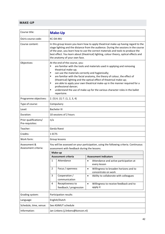## <span id="page-41-0"></span>**MAKE-UP**

| Course title:                            |                                                              | <b>Make-Up</b>                                                                                                                                                                                                                                                                                                                                                                                                                                                                                                                                |           |                                                                                      |  |  |
|------------------------------------------|--------------------------------------------------------------|-----------------------------------------------------------------------------------------------------------------------------------------------------------------------------------------------------------------------------------------------------------------------------------------------------------------------------------------------------------------------------------------------------------------------------------------------------------------------------------------------------------------------------------------------|-----------|--------------------------------------------------------------------------------------|--|--|
| Osiris course code:                      | KC-DA-MU                                                     |                                                                                                                                                                                                                                                                                                                                                                                                                                                                                                                                               |           |                                                                                      |  |  |
| Course content:                          |                                                              | In this group lesson you learn how to apply theatrical make-up having regard to the<br>stage lighting and the distance from the audience. During the sessions in the course<br>of the year, you learn how to use the correct materials and tools to produce the<br>best effect. You learn about (theatrical) lighting, colour theory, optical effects and<br>the anatomy of your own face.                                                                                                                                                    |           |                                                                                      |  |  |
| Objectives:                              | ٠<br>$\blacksquare$<br>٠<br>$\blacksquare$<br>$\blacksquare$ | At the end of the course, you:<br>are familiar with the tools and materials used in applying and removing<br>theatrical make-up;<br>can use the materials correctly and hygienically;<br>are familiar with the facial anatomy, the theory of colour, the effect of<br>(theatrical) lighting and the optical effect of theatrical make-up;<br>are able to apply your own theatrical make-up in the manner required for a<br>professional dancer;<br>understand the use of make-up for the various character roles in the ballet<br>repertoire. |           |                                                                                      |  |  |
| Programme objectives:                    |                                                              | 2. (5) 6. (1) 7. (1, 2, 3, 4)                                                                                                                                                                                                                                                                                                                                                                                                                                                                                                                 |           |                                                                                      |  |  |
| Type of course:                          |                                                              | Compulsory                                                                                                                                                                                                                                                                                                                                                                                                                                                                                                                                    |           |                                                                                      |  |  |
| Level:                                   |                                                              | <b>Bachelor III</b>                                                                                                                                                                                                                                                                                                                                                                                                                                                                                                                           |           |                                                                                      |  |  |
| Duration:                                |                                                              | 10 sessions of 2 hours                                                                                                                                                                                                                                                                                                                                                                                                                                                                                                                        |           |                                                                                      |  |  |
| Prior qualifications/<br>Pre-requisites: | n/a                                                          |                                                                                                                                                                                                                                                                                                                                                                                                                                                                                                                                               |           |                                                                                      |  |  |
| Teacher:                                 |                                                              | Gerda Roest                                                                                                                                                                                                                                                                                                                                                                                                                                                                                                                                   |           |                                                                                      |  |  |
| Credits:                                 |                                                              | 1 ECTS                                                                                                                                                                                                                                                                                                                                                                                                                                                                                                                                        |           |                                                                                      |  |  |
| Work form:                               |                                                              | Group lessons                                                                                                                                                                                                                                                                                                                                                                                                                                                                                                                                 |           |                                                                                      |  |  |
| Assessment &<br>Assessment criteria:     |                                                              | assessment with feedback during the lessons.                                                                                                                                                                                                                                                                                                                                                                                                                                                                                                  |           | You will be assessed on your participation, using the following criteria. Continuous |  |  |
|                                          |                                                              | Make-up                                                                                                                                                                                                                                                                                                                                                                                                                                                                                                                                       |           |                                                                                      |  |  |
|                                          |                                                              | Assessment criteria                                                                                                                                                                                                                                                                                                                                                                                                                                                                                                                           |           | <b>Assessment indicators</b>                                                         |  |  |
|                                          | 1                                                            | Attendance                                                                                                                                                                                                                                                                                                                                                                                                                                                                                                                                    | $\bullet$ | Attendance and active participation at<br>every lesson                               |  |  |
|                                          | 2                                                            | Focus / openness                                                                                                                                                                                                                                                                                                                                                                                                                                                                                                                              | $\bullet$ | Willingness to broaden horizons and to<br>concentrate on work                        |  |  |
|                                          | 3                                                            | Cooperation /<br>communication                                                                                                                                                                                                                                                                                                                                                                                                                                                                                                                | $\bullet$ | Ability to collaborate with colleagues                                               |  |  |
|                                          | 4                                                            | Receptiveness to<br>feedback / progression                                                                                                                                                                                                                                                                                                                                                                                                                                                                                                    | $\bullet$ | Willingness to receive feedback and to<br>apply it                                   |  |  |
| Grading system:                          |                                                              | Participation results                                                                                                                                                                                                                                                                                                                                                                                                                                                                                                                         |           |                                                                                      |  |  |
| Language:                                |                                                              | English/Dutch                                                                                                                                                                                                                                                                                                                                                                                                                                                                                                                                 |           |                                                                                      |  |  |
| Schedule, time, venue:                   |                                                              | See ASIMUT schedule                                                                                                                                                                                                                                                                                                                                                                                                                                                                                                                           |           |                                                                                      |  |  |
| Information:                             |                                                              | Jan Linkens (j.linkens@koncon.nl)                                                                                                                                                                                                                                                                                                                                                                                                                                                                                                             |           |                                                                                      |  |  |